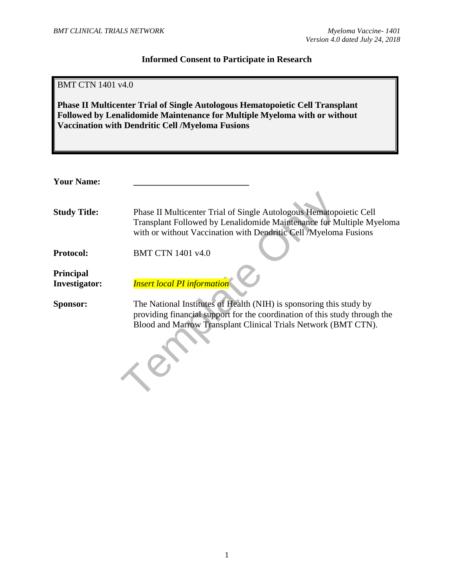Myeloma

#### **Informed Consent to Participate in Research**

| <b>BMT CTN 1401 v4.0</b>          | <b>Phase II Multicenter Trial of Single Autologous Hematopoietic Cell Transplant</b><br>Followed by Lenalidomide Maintenance for Multiple Myeloma with or without<br><b>Vaccination with Dendritic Cell /Myeloma Fusions</b> |
|-----------------------------------|------------------------------------------------------------------------------------------------------------------------------------------------------------------------------------------------------------------------------|
|                                   |                                                                                                                                                                                                                              |
| <b>Your Name:</b>                 |                                                                                                                                                                                                                              |
| <b>Study Title:</b>               | Phase II Multicenter Trial of Single Autologous Hematopoietic Cell<br>Transplant Followed by Lenalidomide Maintenance for Multiple My<br>with or without Vaccination with Dendritic Cell /Myeloma Fusions                    |
| <b>Protocol:</b>                  | <b>BMT CTN 1401 v4.0</b>                                                                                                                                                                                                     |
| Principal<br><b>Investigator:</b> | <b>Insert local PI information</b>                                                                                                                                                                                           |
| <b>Sponsor:</b>                   | The National Institutes of Health (NIH) is sponsoring this study by<br>providing financial support for the coordination of this study through<br>Blood and Marrow Transplant Clinical Trials Network (BMT CTN).              |

**Sponsor:** The National Institutes of Health (NIH) is sponsoring this study by providing financial support for the coordination of this study through the Blood and Marrow Transplant Clinical Trials Network (BMT CTN).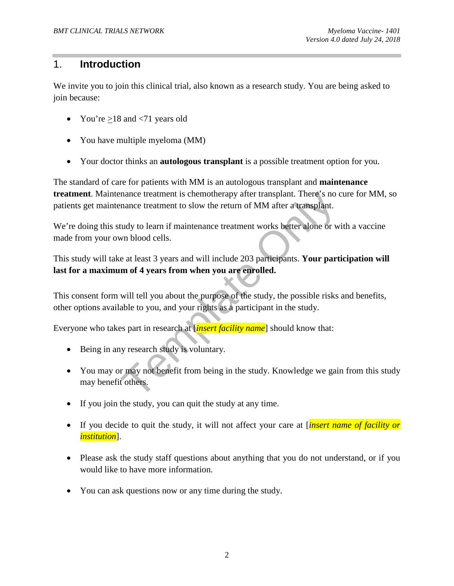# 1. **Introduction**

We invite you to join this clinical trial, also known as a research study. You are being asked to join because:

- You're  $>18$  and  $< 71$  years old
- You have multiple myeloma (MM)
- Your doctor thinks an **autologous transplant** is a possible treatment option for you.

The standard of care for patients with MM is an autologous transplant and **maintenance treatment**. Maintenance treatment is chemotherapy after transplant. There's no cure for MM, so patients get maintenance treatment to slow the return of MM after a transplant.

We're doing this study to learn if maintenance treatment works better alone or with a vaccine made from your own blood cells.

This study will take at least 3 years and will include 203 participants. **Your participation will last for a maximum of 4 years from when you are enrolled.**

This consent form will tell you about the purpose of the study, the possible risks and benefits, other options available to you, and your rights as a participant in the study.

Everyone who takes part in research at [*insert facility name*] should know that:

- Being in any research study is voluntary.
- mance treatment is chemotherapy after transplant. There's no or<br>nance treatment to slow the return of MM after a transplant.<br>tudy to learn if maintenance treatment works better alone or w<br>xn blood cells.<br>e at least 3 years • You may or may not benefit from being in the study. Knowledge we gain from this study may benefit others.
- If you join the study, you can quit the study at any time.
- If you decide to quit the study, it will not affect your care at [*insert name of facility or institution*].
- Please ask the study staff questions about anything that you do not understand, or if you would like to have more information.
- You can ask questions now or any time during the study.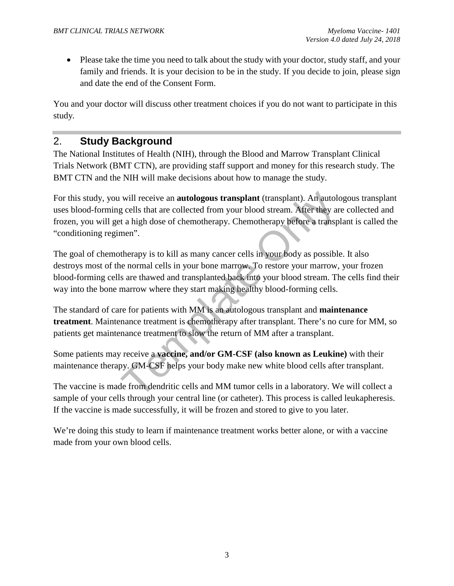• Please take the time you need to talk about the study with your doctor, study staff, and your family and friends. It is your decision to be in the study. If you decide to join, please sign and date the end of the Consent Form.

You and your doctor will discuss other treatment choices if you do not want to participate in this study*.* 

# 2. **Study Background**

The National Institutes of Health (NIH), through the Blood and Marrow Transplant Clinical Trials Network (BMT CTN), are providing staff support and money for this research study. The BMT CTN and the NIH will make decisions about how to manage the study.

For this study, you will receive an **autologous transplant** (transplant). An autologous transplant uses blood-forming cells that are collected from your blood stream. After they are collected and frozen, you will get a high dose of chemotherapy. Chemotherapy before a transplant is called the "conditioning regimen".

will receive an **autologous transplant** (transplant). An autolog cells that are collected from your blood stream. After they are the altigh dose of chemotherapy. Chemotherapy before a transpension of the altigh dose of che The goal of chemotherapy is to kill as many cancer cells in your body as possible. It also destroys most of the normal cells in your bone marrow. To restore your marrow, your frozen blood-forming cells are thawed and transplanted back into your blood stream. The cells find their way into the bone marrow where they start making healthy blood-forming cells.

The standard of care for patients with MM is an autologous transplant and **maintenance treatment**. Maintenance treatment is chemotherapy after transplant. There's no cure for MM, so patients get maintenance treatment to slow the return of MM after a transplant.

Some patients may receive a **vaccine, and/or GM-CSF (also known as Leukine)** with their maintenance therapy. GM-CSF helps your body make new white blood cells after transplant.

The vaccine is made from dendritic cells and MM tumor cells in a laboratory. We will collect a sample of your cells through your central line (or catheter). This process is called leukapheresis. If the vaccine is made successfully, it will be frozen and stored to give to you later.

We're doing this study to learn if maintenance treatment works better alone, or with a vaccine made from your own blood cells.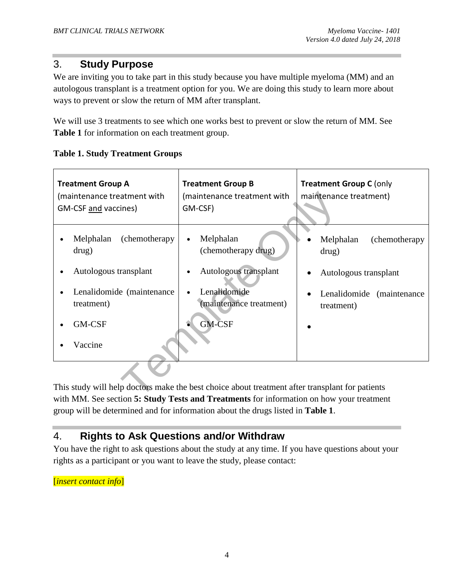# 3. **Study Purpose**

We are inviting you to take part in this study because you have multiple myeloma (MM) and an autologous transplant is a treatment option for you. We are doing this study to learn more about ways to prevent or slow the return of MM after transplant.

We will use 3 treatments to see which one works best to prevent or slow the return of MM. See **Table 1** for information on each treatment group.

#### **Table 1. Study Treatment Groups**

| <b>Treatment Group A</b><br>(maintenance treatment with<br>GM-CSF and vaccines)                                                                                                            | <b>Treatment Group B</b><br>(maintenance treatment with<br>GM-CSF) | <b>Treatment Group C (only</b><br>maintenance treatment) |
|--------------------------------------------------------------------------------------------------------------------------------------------------------------------------------------------|--------------------------------------------------------------------|----------------------------------------------------------|
| (chemotherapy)<br>Melphalan<br>drug)                                                                                                                                                       | Melphalan<br>(chemotherapy drug)                                   | Melphalan<br>(chemotherapy)<br>drug)                     |
| Autologous transplant                                                                                                                                                                      | Autologous transplant                                              | Autologous transplant                                    |
| Lenalidomide (maintenance<br>treatment)                                                                                                                                                    | Lenalidomide<br>(maintenance treatment)                            | Lenalidomide (maintenance<br>treatment)                  |
| GM-CSF                                                                                                                                                                                     | <b>GM-CSF</b>                                                      |                                                          |
| Vaccine                                                                                                                                                                                    |                                                                    |                                                          |
|                                                                                                                                                                                            |                                                                    |                                                          |
| This study will help doctors make the best choice about treatment after transplant for patients<br>with MM See section 5: Study Tests and Treatments for information on how your treatment |                                                                    |                                                          |

This study will help doctors make the best choice about treatment after transplant for patients with MM. See section **5: Study Tests and Treatments** for information on how your treatment group will be determined and for information about the drugs listed in **Table 1**.

# 4. **Rights to Ask Questions and/or Withdraw**

You have the right to ask questions about the study at any time. If you have questions about your rights as a participant or you want to leave the study, please contact:

[*insert contact info*]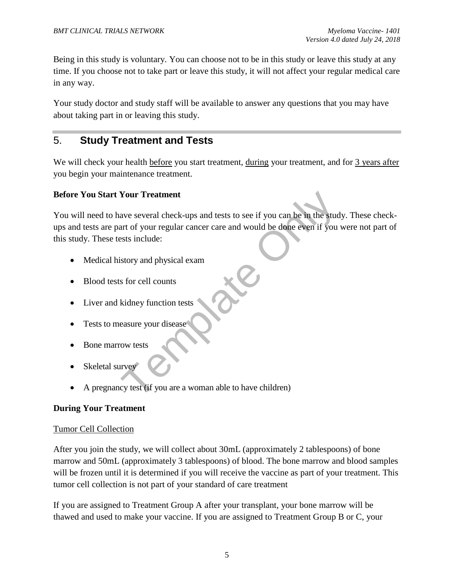Being in this study is voluntary. You can choose not to be in this study or leave this study at any time. If you choose not to take part or leave this study, it will not affect your regular medical care in any way.

Your study doctor and study staff will be available to answer any questions that you may have about taking part in or leaving this study.

# 5. **Study Treatment and Tests**

We will check your health before you start treatment, during your treatment, and for 3 years after you begin your maintenance treatment.

#### **Before You Start Your Treatment**

Frequence Serveral check-ups and tests to see if you can be in the student of your regular cancer care and would be done even if you<br>sets include:<br>Sustained Check-ups and tests include:<br>Sustained Check-ups and tests includ You will need to have several check-ups and tests to see if you can be in the study. These checkups and tests are part of your regular cancer care and would be done even if you were not part of this study. These tests include:

- Medical history and physical exam
- Blood tests for cell counts
- Liver and kidney function tests
- Tests to measure your disease
- Bone marrow tests
- Skeletal survey
- A pregnancy test (if you are a woman able to have children)

#### **During Your Treatment**

#### Tumor Cell Collection

After you join the study, we will collect about 30mL (approximately 2 tablespoons) of bone marrow and 50mL (approximately 3 tablespoons) of blood. The bone marrow and blood samples will be frozen until it is determined if you will receive the vaccine as part of your treatment. This tumor cell collection is not part of your standard of care treatment

If you are assigned to Treatment Group A after your transplant, your bone marrow will be thawed and used to make your vaccine. If you are assigned to Treatment Group B or C, your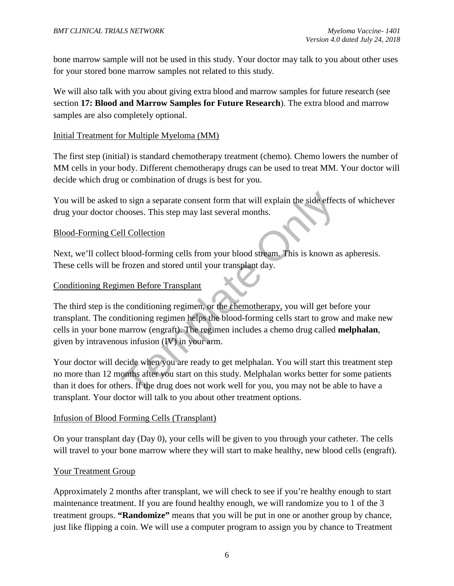bone marrow sample will not be used in this study. Your doctor may talk to you about other uses for your stored bone marrow samples not related to this study.

We will also talk with you about giving extra blood and marrow samples for future research (see section **17: Blood and Marrow Samples for Future Research**). The extra blood and marrow samples are also completely optional.

#### Initial Treatment for Multiple Myeloma (MM)

The first step (initial) is standard chemotherapy treatment (chemo). Chemo lowers the number of MM cells in your body. Different chemotherapy drugs can be used to treat MM. Your doctor will decide which drug or combination of drugs is best for you.

You will be asked to sign a separate consent form that will explain the side effects of whichever drug your doctor chooses. This step may last several months.

#### Blood-Forming Cell Collection

Next, we'll collect blood-forming cells from your blood stream. This is known as apheresis. These cells will be frozen and stored until your transplant day.

#### Conditioning Regimen Before Transplant

to sign a separate consent form that will explain the side effec<br>hooses. This step may last several months.<br><br><u>Ill Collection</u><br>blood-forming cells from your blood stream. This is known a<br>frozen and stored until your transpl The third step is the conditioning regimen, or the chemotherapy, you will get before your transplant. The conditioning regimen helps the blood-forming cells start to grow and make new cells in your bone marrow (engraft). The regimen includes a chemo drug called **melphalan**, given by intravenous infusion (IV) in your arm.

Your doctor will decide when you are ready to get melphalan. You will start this treatment step no more than 12 months after you start on this study. Melphalan works better for some patients than it does for others. If the drug does not work well for you, you may not be able to have a transplant. Your doctor will talk to you about other treatment options.

#### Infusion of Blood Forming Cells (Transplant)

On your transplant day (Day 0), your cells will be given to you through your catheter. The cells will travel to your bone marrow where they will start to make healthy, new blood cells (engraft).

#### Your Treatment Group

Approximately 2 months after transplant, we will check to see if you're healthy enough to start maintenance treatment. If you are found healthy enough, we will randomize you to 1 of the 3 treatment groups. **"Randomize"** means that you will be put in one or another group by chance, just like flipping a coin. We will use a computer program to assign you by chance to Treatment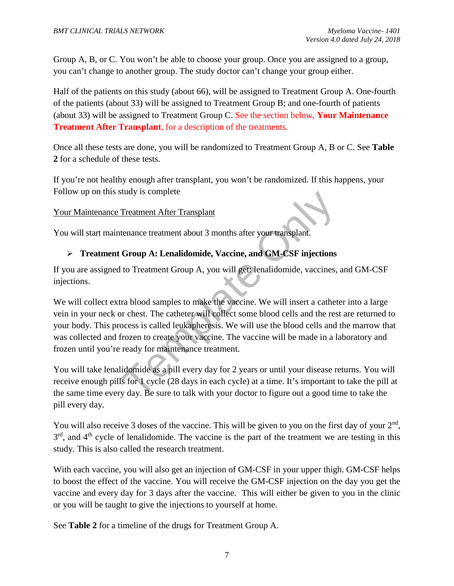Group A, B, or C. You won't be able to choose your group. Once you are assigned to a group, you can't change to another group. The study doctor can't change your group either.

Half of the patients on this study (about 66), will be assigned to Treatment Group A. One-fourth of the patients (about 33) will be assigned to Treatment Group B; and one-fourth of patients (about 33) will be assigned to Treatment Group C. See the section below, **Your Maintenance Treatment After Transplant**, for a description of the treatments.

Once all these tests are done, you will be randomized to Treatment Group A, B or C. See **Table 2** for a schedule of these tests.

If you're not healthy enough after transplant, you won't be randomized. If this happens, your Follow up on this study is complete

#### Your Maintenance Treatment After Transplant

You will start maintenance treatment about 3 months after your transplant.

#### **Treatment Group A: Lenalidomide, Vaccine, and GM-CSF injections**

If you are assigned to Treatment Group A, you will get: lenalidomide, vaccines, and GM-CSF injections.

Treatment After Transplant<br>
Treatment After Transplant<br>
tenance treatment about 3 months after your transplant.<br> **Group A: Lenalidomide, Vaccine, and GM-CSF injections**<br>
to Treatment Group A, you will get: lenalidomide, va We will collect extra blood samples to make the vaccine. We will insert a catheter into a large vein in your neck or chest. The catheter will collect some blood cells and the rest are returned to your body. This process is called leukapheresis. We will use the blood cells and the marrow that was collected and frozen to create your vaccine. The vaccine will be made in a laboratory and frozen until you're ready for maintenance treatment.

You will take lenalidomide as a pill every day for 2 years or until your disease returns. You will receive enough pills for 1 cycle (28 days in each cycle) at a time. It's important to take the pill at the same time every day. Be sure to talk with your doctor to figure out a good time to take the pill every day.

You will also receive 3 doses of the vaccine. This will be given to you on the first day of your  $2<sup>nd</sup>$ ,  $3<sup>rd</sup>$ , and  $4<sup>th</sup>$  cycle of lenalidomide. The vaccine is the part of the treatment we are testing in this study. This is also called the research treatment.

With each vaccine, you will also get an injection of GM-CSF in your upper thigh. GM-CSF helps to boost the effect of the vaccine. You will receive the GM-CSF injection on the day you get the vaccine and every day for 3 days after the vaccine. This will either be given to you in the clinic or you will be taught to give the injections to yourself at home.

See **Table 2** for a timeline of the drugs for Treatment Group A.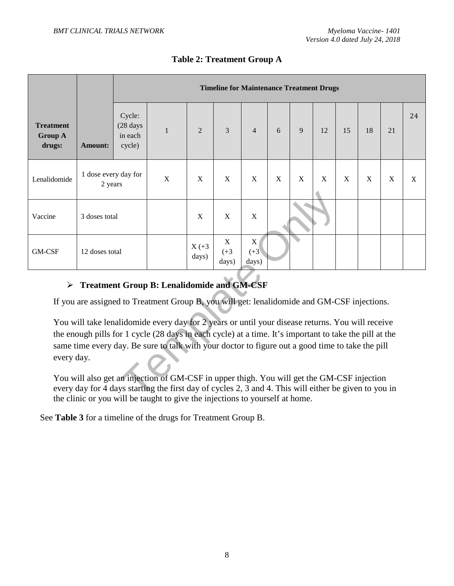|                                                                                                                                                                                                                                                                                                                                                                                                                                                                                                                                                                                                                                    |                                              |                                         | <b>Timeline for Maintenance Treatment Drugs</b> |                   |                                |                                |   |   |    |    |    |    |    |
|------------------------------------------------------------------------------------------------------------------------------------------------------------------------------------------------------------------------------------------------------------------------------------------------------------------------------------------------------------------------------------------------------------------------------------------------------------------------------------------------------------------------------------------------------------------------------------------------------------------------------------|----------------------------------------------|-----------------------------------------|-------------------------------------------------|-------------------|--------------------------------|--------------------------------|---|---|----|----|----|----|----|
| <b>Treatment</b><br><b>Group A</b><br>drugs:                                                                                                                                                                                                                                                                                                                                                                                                                                                                                                                                                                                       | <b>Amount:</b>                               | Cycle:<br>(28 days<br>in each<br>cycle) | $\mathbf{1}$                                    | $\overline{2}$    | 3                              | $\overline{4}$                 | 6 | 9 | 12 | 15 | 18 | 21 | 24 |
| Lenalidomide                                                                                                                                                                                                                                                                                                                                                                                                                                                                                                                                                                                                                       | 1 dose every day for<br>2 years              |                                         | X                                               | X                 | X                              | X                              | X | X | X  | X  | X  | X  | X  |
| Vaccine                                                                                                                                                                                                                                                                                                                                                                                                                                                                                                                                                                                                                            | 3 doses total                                |                                         |                                                 | X                 | X                              | $\mathbf X$                    |   |   |    |    |    |    |    |
| GM-CSF                                                                                                                                                                                                                                                                                                                                                                                                                                                                                                                                                                                                                             | 12 doses total                               |                                         |                                                 | $X (+3)$<br>days) | $\mathbf X$<br>$(+3)$<br>days) | $\mathbf X$<br>$(+3)$<br>days) |   |   |    |    |    |    |    |
|                                                                                                                                                                                                                                                                                                                                                                                                                                                                                                                                                                                                                                    | > Treatment Group B: Lenalidomide and GM-CSF |                                         |                                                 |                   |                                |                                |   |   |    |    |    |    |    |
| If you are assigned to Treatment Group B, you will get: lenalidomide and GM-CSF injections.<br>You will take lenalidomide every day for 2 years or until your disease returns. You will receive<br>the enough pills for 1 cycle (28 days in each cycle) at a time. It's important to take the pill at the<br>same time every day. Be sure to talk with your doctor to figure out a good time to take the pill<br>every day.<br>You will also get an injection of GM-CSF in upper thigh. You will get the GM-CSF injection<br>every day for 4 days starting the first day of cycles 2, 3 and 4. This will either be given to you in |                                              |                                         |                                                 |                   |                                |                                |   |   |    |    |    |    |    |

# **Table 2: Treatment Group A**

# **Treatment Group B: Lenalidomide and GM-CSF**

You will also get an injection of GM-CSF in upper thigh. You will get the GM-CSF injection every day for 4 days starting the first day of cycles 2, 3 and 4. This will either be given to you in the clinic or you will be taught to give the injections to yourself at home.

See **Table 3** for a timeline of the drugs for Treatment Group B.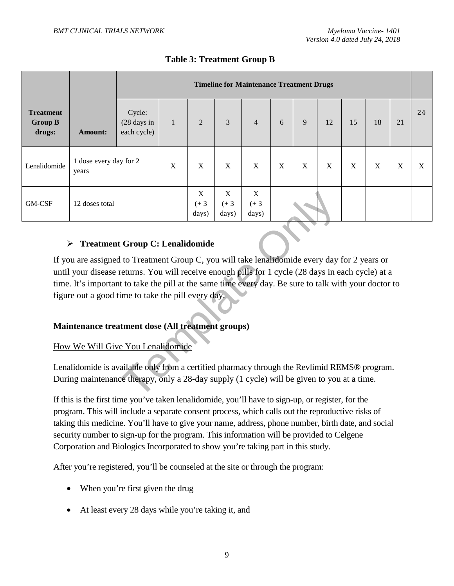|                                              |                                 |                                      | <b>Timeline for Maintenance Treatment Drugs</b> |                       |                      |                      |             |                           |             |    |    |    |    |
|----------------------------------------------|---------------------------------|--------------------------------------|-------------------------------------------------|-----------------------|----------------------|----------------------|-------------|---------------------------|-------------|----|----|----|----|
| <b>Treatment</b><br><b>Group B</b><br>drugs: | <b>Amount:</b>                  | Cycle:<br>(28 days in<br>each cycle) | $\mathbf{1}$                                    | $\overline{2}$        | 3                    | $\overline{4}$       | 6           | 9                         | 12          | 15 | 18 | 21 | 24 |
| Lenalidomide                                 | 1 dose every day for 2<br>years |                                      | X                                               | X                     | $\mathbf X$          | X                    | $\mathbf X$ | $\boldsymbol{\mathrm{X}}$ | $\mathbf X$ | X  | X  | X  | X  |
| GM-CSF                                       | 12 doses total                  |                                      |                                                 | X<br>$(+ 3)$<br>days) | X<br>$(+3)$<br>days) | X<br>$(+3)$<br>days) |             |                           |             |    |    |    |    |

#### **Table 3: Treatment Group B**

#### **Treatment Group C: Lenalidomide**

 $\begin{array}{|c|c|c|}\n\hline\n & X & X & X & X \\
 & (+3 & (+3 & (+3 & (+3 & (+3 & 0.001)) & (1.0001) & (1.0001) & (1.0001) & (1.0001) & (1.0001) & (1.0001) & (1.0001) & (1.0001) & (1.0001) & (1.0001) & (1.0001) & (1.0001) & (1.0001) & (1.0001) & (1.0001) & (1.0001) & (1.0001) & (1.0001) & (1.0001$ If you are assigned to Treatment Group C, you will take lenalidomide every day for 2 years or until your disease returns. You will receive enough pills for 1 cycle (28 days in each cycle) at a time. It's important to take the pill at the same time every day. Be sure to talk with your doctor to figure out a good time to take the pill every day.

#### **Maintenance treatment dose (All treatment groups)**

#### How We Will Give You Lenalidomide

Lenalidomide is available only from a certified pharmacy through the Revlimid REMS® program. During maintenance therapy, only a 28-day supply (1 cycle) will be given to you at a time.

If this is the first time you've taken lenalidomide, you'll have to sign-up, or register, for the program. This will include a separate consent process, which calls out the reproductive risks of taking this medicine. You'll have to give your name, address, phone number, birth date, and social security number to sign-up for the program. This information will be provided to Celgene Corporation and Biologics Incorporated to show you're taking part in this study.

After you're registered, you'll be counseled at the site or through the program:

- When you're first given the drug
- At least every 28 days while you're taking it, and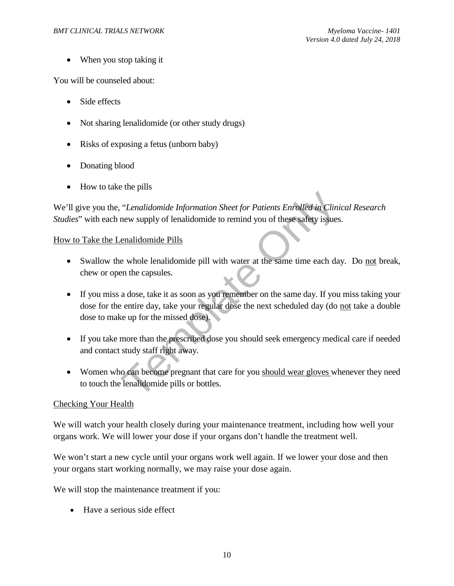• When you stop taking it

You will be counseled about:

- Side effects
- Not sharing lenalidomide (or other study drugs)
- Risks of exposing a fetus (unborn baby)
- Donating blood
- How to take the pills

We'll give you the, "*Lenalidomide Information Sheet for Patients Enrolled in Clinical Research Studies*" with each new supply of lenalidomide to remind you of these safety issues.

#### How to Take the Lenalidomide Pills

- Swallow the whole lenalidomide pill with water at the same time each day. Do not break, chew or open the capsules.
- "Lenalidomide Information Sheet for Patients Enrolled in Clini<br>new supply of lenalidomide to remind you of these safety issues<br>enalidomide Pills<br>e whole lenalidomide pill with water at the same time each da<br>en the capsules • If you miss a dose, take it as soon as you remember on the same day. If you miss taking your dose for the entire day, take your regular dose the next scheduled day (do not take a double dose to make up for the missed dose).
- If you take more than the prescribed dose you should seek emergency medical care if needed and contact study staff right away.
- Women who can become pregnant that care for you should wear gloves whenever they need to touch the lenalidomide pills or bottles.

#### Checking Your Health

We will watch your health closely during your maintenance treatment, including how well your organs work. We will lower your dose if your organs don't handle the treatment well.

We won't start a new cycle until your organs work well again. If we lower your dose and then your organs start working normally, we may raise your dose again.

We will stop the maintenance treatment if you:

• Have a serious side effect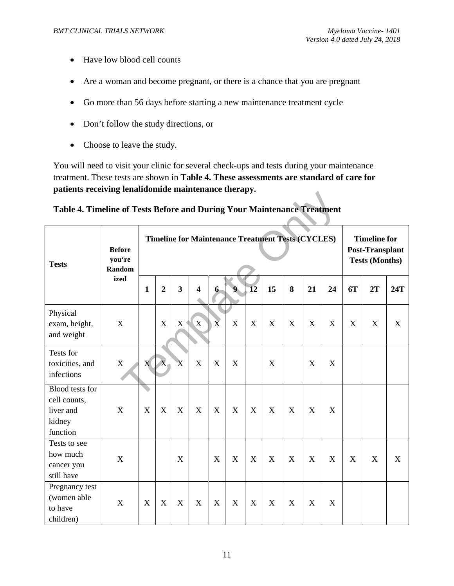- Have low blood cell counts
- Are a woman and become pregnant, or there is a chance that you are pregnant
- Go more than 56 days before starting a new maintenance treatment cycle
- Don't follow the study directions, or
- Choose to leave the study.

You will need to visit your clinic for several check-ups and tests during your maintenance treatment. These tests are shown in **Table 4. These assessments are standard of care for patients receiving lenalidomide maintenance therapy.** 

|  |  | Table 4. Timeline of Tests Before and During Your Maintenance Treatment |  |
|--|--|-------------------------------------------------------------------------|--|
|  |  |                                                                         |  |
|  |  |                                                                         |  |
|  |  |                                                                         |  |

| Table 4. Timeline of Tests Before and During Your Maintenance Treatment |                                   |              |                                                          |                |                         |                |                  |                 |             |                                                                        |             |                           |                           |             |             |
|-------------------------------------------------------------------------|-----------------------------------|--------------|----------------------------------------------------------|----------------|-------------------------|----------------|------------------|-----------------|-------------|------------------------------------------------------------------------|-------------|---------------------------|---------------------------|-------------|-------------|
| <b>Tests</b>                                                            | <b>Before</b><br>you're<br>Random |              | <b>Timeline for Maintenance Treatment Tests (CYCLES)</b> |                |                         |                |                  |                 |             | <b>Timeline for</b><br><b>Post-Transplant</b><br><b>Tests (Months)</b> |             |                           |                           |             |             |
|                                                                         | ized                              | $\mathbf{1}$ | $\overline{2}$                                           | $\overline{3}$ | $\overline{\mathbf{4}}$ | $6-$           | $\mathbf 0$      | $\overline{12}$ | 15          | 8                                                                      | 21          | 24                        | 6T                        | 2T          | 24T         |
| Physical<br>exam, height,<br>and weight                                 | $\mathbf X$                       |              | $\mathbf X$                                              | $X^+$          | X                       | $\overline{X}$ | $\mathbf X$      | $\mathbf X$     | $\mathbf X$ | X                                                                      | X           | X                         | $\boldsymbol{\mathrm{X}}$ | X           | $\mathbf X$ |
| Tests for<br>toxicities, and<br>infections                              | $\mathbf X$                       | X            | $\overline{X}$                                           | $\mathbf{X}$   | X                       | X              | X                |                 | X           |                                                                        | X           | $\boldsymbol{\mathrm{X}}$ |                           |             |             |
| Blood tests for<br>cell counts,<br>liver and<br>kidney<br>function      | X                                 | X            | $\mathbf X$                                              | X              | X                       | X              | X                | X               | $\mathbf X$ | X                                                                      | X           | X                         |                           |             |             |
| Tests to see<br>how much<br>cancer you<br>still have                    | $\mathbf X$                       |              |                                                          | X              |                         | $\mathbf X$    | $\boldsymbol{X}$ | $\mathbf X$     | $\mathbf X$ | $\boldsymbol{\mathrm{X}}$                                              | $\mathbf X$ | $\boldsymbol{\mathrm{X}}$ | X                         | $\mathbf X$ | $\mathbf X$ |
| Pregnancy test<br>(women able<br>to have<br>children)                   | $\mathbf X$                       | X            | $\mathbf X$                                              | X              | X                       | X              | X                | X               | $\mathbf X$ | X                                                                      | X           | X                         |                           |             |             |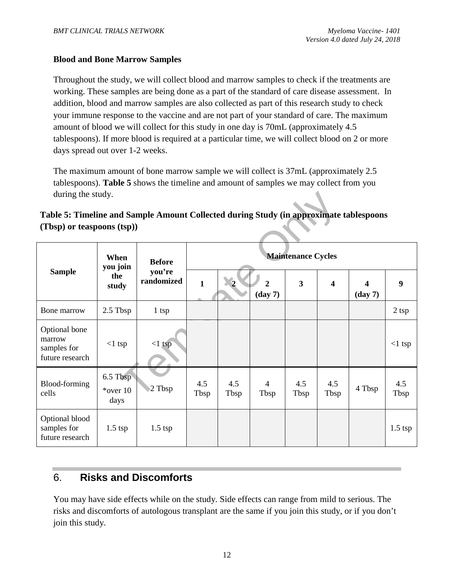#### **Blood and Bone Marrow Samples**

Throughout the study, we will collect blood and marrow samples to check if the treatments are working. These samples are being done as a part of the standard of care disease assessment. In addition, blood and marrow samples are also collected as part of this research study to check your immune response to the vaccine and are not part of your standard of care. The maximum amount of blood we will collect for this study in one day is 70mL (approximately 4.5 tablespoons). If more blood is required at a particular time, we will collect blood on 2 or more days spread out over 1-2 weeks.

The maximum amount of bone marrow sample we will collect is 37mL (approximately 2.5 tablespoons). **Table 5** shows the timeline and amount of samples we may collect from you during the study.

## **Table 5: Timeline and Sample Amount Collected during Study (in approximate tablespoons (Tbsp) or teaspoons (tsp))**

| during the study.                                                                                                    |                                 |                      |                           |             |                                     |                         |                         |                                       |             |
|----------------------------------------------------------------------------------------------------------------------|---------------------------------|----------------------|---------------------------|-------------|-------------------------------------|-------------------------|-------------------------|---------------------------------------|-------------|
| Table 5: Timeline and Sample Amount Collected during Study (in approximate tablespoons<br>(Tbsp) or teaspoons (tsp)) |                                 |                      |                           |             |                                     |                         |                         |                                       |             |
|                                                                                                                      | When                            | <b>Before</b>        | <b>Maintenance Cycles</b> |             |                                     |                         |                         |                                       |             |
| <b>Sample</b>                                                                                                        | you join<br>the<br>study        | you're<br>randomized | $\mathbf{1}$              |             | $\overline{2}$<br>$(\text{day } 7)$ | $\overline{\mathbf{3}}$ | $\overline{\mathbf{4}}$ | $\boldsymbol{4}$<br>$(\text{day } 7)$ | 9           |
| Bone marrow                                                                                                          | 2.5 Tbsp                        | $1$ tsp              |                           |             |                                     |                         |                         |                                       | $2$ tsp     |
| Optional bone<br>marrow<br>samples for<br>future research                                                            | $<1$ tsp                        | $<1$ tsp             |                           |             |                                     |                         |                         |                                       | $<1$ tsp    |
| Blood-forming<br>cells                                                                                               | 6.5 Tbsp<br>$*$ over 10<br>days | 2 Tbsp               | 4.5<br>Tbsp               | 4.5<br>Tbsp | $\overline{4}$<br>Tbsp              | 4.5<br>Tbsp             | 4.5<br>Tbsp             | 4 Tbsp                                | 4.5<br>Tbsp |
| Optional blood<br>samples for<br>future research                                                                     | $1.5$ tsp                       | $1.5$ tsp            |                           |             |                                     |                         |                         |                                       | $1.5$ tsp   |

# 6. **Risks and Discomforts**

You may have side effects while on the study. Side effects can range from mild to serious. The risks and discomforts of autologous transplant are the same if you join this study, or if you don't join this study.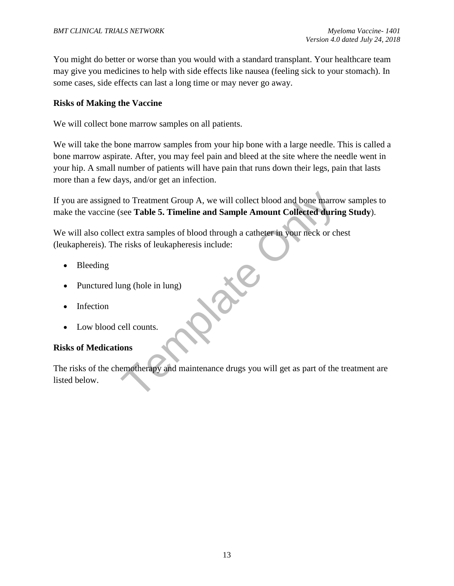You might do better or worse than you would with a standard transplant. Your healthcare team may give you medicines to help with side effects like nausea (feeling sick to your stomach). In some cases, side effects can last a long time or may never go away.

#### **Risks of Making the Vaccine**

We will collect bone marrow samples on all patients.

We will take the bone marrow samples from your hip bone with a large needle. This is called a bone marrow aspirate. After, you may feel pain and bleed at the site where the needle went in your hip. A small number of patients will have pain that runs down their legs, pain that lasts more than a few days, and/or get an infection.

I to Treatment Group A, we will collect blood and bone marrouse Table 5. Timeline and Sample Amount Collected durint et extra samples of blood through a catheter in your neck or che risks of leukapheresis include:<br>
any (ho If you are assigned to Treatment Group A, we will collect blood and bone marrow samples to make the vaccine (see **Table 5. Timeline and Sample Amount Collected during Study**).

We will also collect extra samples of blood through a catheter in your neck or chest (leukaphereis). The risks of leukapheresis include:

- Bleeding
- Punctured lung (hole in lung)
- **Infection**
- Low blood cell counts.

#### **Risks of Medications**

The risks of the chemotherapy and maintenance drugs you will get as part of the treatment are listed below.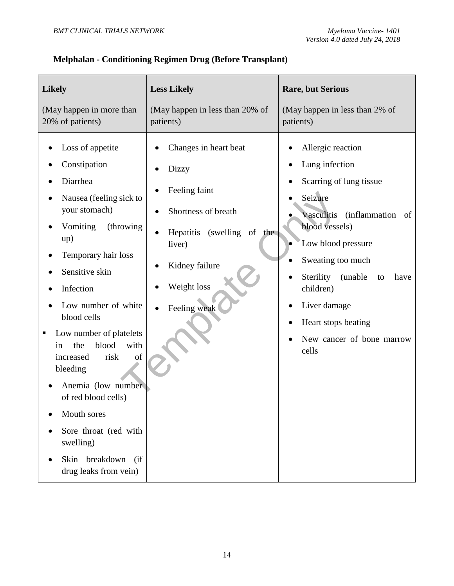| <b>Likely</b>                                                                                                                                                                                                                                                                                                                                                                                                                                                              | <b>Less Likely</b>                                                                                                                                              | <b>Rare, but Serious</b>                                                                                                                                                                                                                                                                               |  |  |  |
|----------------------------------------------------------------------------------------------------------------------------------------------------------------------------------------------------------------------------------------------------------------------------------------------------------------------------------------------------------------------------------------------------------------------------------------------------------------------------|-----------------------------------------------------------------------------------------------------------------------------------------------------------------|--------------------------------------------------------------------------------------------------------------------------------------------------------------------------------------------------------------------------------------------------------------------------------------------------------|--|--|--|
| (May happen in more than<br>20% of patients)                                                                                                                                                                                                                                                                                                                                                                                                                               | (May happen in less than 20% of<br>patients)                                                                                                                    | (May happen in less than 2% of<br>patients)                                                                                                                                                                                                                                                            |  |  |  |
| Loss of appetite<br>Constipation<br>Diarrhea<br>Nausea (feeling sick to<br>your stomach)<br>Vomiting<br>(throwing)<br>up)<br>Temporary hair loss<br>Sensitive skin<br>Infection<br>Low number of white<br>blood cells<br>Low number of platelets<br>blood<br>with<br>the<br>in<br>risk<br>of<br>increased<br>bleeding<br>Anemia (low number)<br>of red blood cells)<br>Mouth sores<br>Sore throat (red with<br>swelling)<br>Skin breakdown<br>(ii<br>drug leaks from vein) | Changes in heart beat<br>Dizzy<br>Feeling faint<br>Shortness of breath<br>Hepatitis (swelling of the<br>liver)<br>Kidney failure<br>Weight loss<br>Feeling weak | Allergic reaction<br>Lung infection<br>Scarring of lung tissue<br>Seizure<br>Vasculitis (inflammation of<br>blood vessels)<br>Low blood pressure<br>Sweating too much<br>Sterility<br>(unable)<br>to<br>have<br>children)<br>Liver damage<br>Heart stops beating<br>New cancer of bone marrow<br>cells |  |  |  |

# **Melphalan - Conditioning Regimen Drug (Before Transplant)**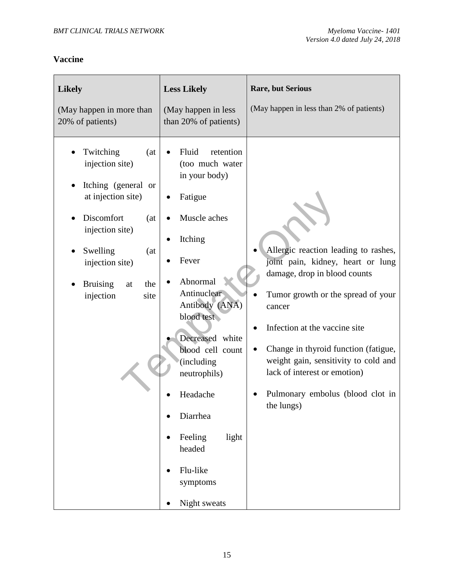# **Vaccine**

| <b>Likely</b><br>(May happen in more than<br>20% of patients)                                                                                                                                                        | <b>Less Likely</b><br>(May happen in less<br>than 20% of patients)                                                                                                                                                                                                                                                                  | <b>Rare, but Serious</b><br>(May happen in less than 2% of patients)                                                                                                                                                                                                                                                                                         |
|----------------------------------------------------------------------------------------------------------------------------------------------------------------------------------------------------------------------|-------------------------------------------------------------------------------------------------------------------------------------------------------------------------------------------------------------------------------------------------------------------------------------------------------------------------------------|--------------------------------------------------------------------------------------------------------------------------------------------------------------------------------------------------------------------------------------------------------------------------------------------------------------------------------------------------------------|
| Twitching<br>(at)<br>injection site)<br>Itching (general or<br>at injection site)<br>Discomfort<br>(at<br>injection site)<br>Swelling<br>(at<br>injection site)<br>the<br><b>Bruising</b><br>at<br>injection<br>site | Fluid<br>retention<br>(too much water<br>in your body)<br>Fatigue<br>Muscle aches<br>Itching<br>Fever<br>Abnormal<br>Antinuclear<br>Antibody (ANA)<br>blood test<br>Decreased white<br>blood cell count<br>(including<br>neutrophils)<br>Headache<br>Diarrhea<br>Feeling<br>light<br>headed<br>Flu-like<br>symptoms<br>Night sweats | Allergic reaction leading to rashes,<br>joint pain, kidney, heart or lung<br>damage, drop in blood counts<br>Tumor growth or the spread of your<br>cancer<br>Infection at the vaccine site<br>Change in thyroid function (fatigue,<br>weight gain, sensitivity to cold and<br>lack of interest or emotion)<br>Pulmonary embolus (blood clot in<br>the lungs) |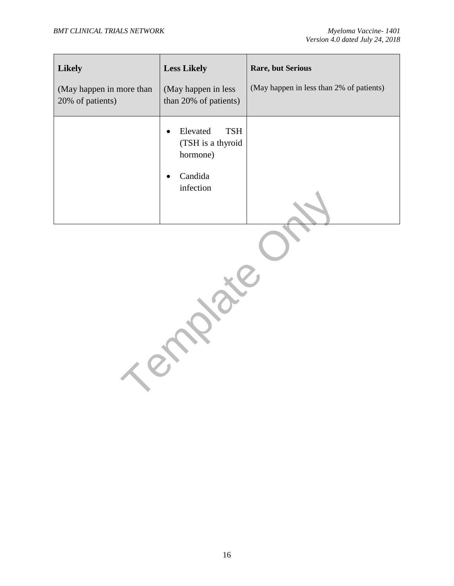| <b>Likely</b><br>(May happen in more than<br>20% of patients) | <b>Less Likely</b><br>(May happen in less)<br>than 20% of patients)                                       | <b>Rare, but Serious</b><br>(May happen in less than 2% of patients) |
|---------------------------------------------------------------|-----------------------------------------------------------------------------------------------------------|----------------------------------------------------------------------|
|                                                               | Elevated<br><b>TSH</b><br>$\bullet$<br>(TSH is a thyroid<br>hormone)<br>Candida<br>$\bullet$<br>infection |                                                                      |

Template Or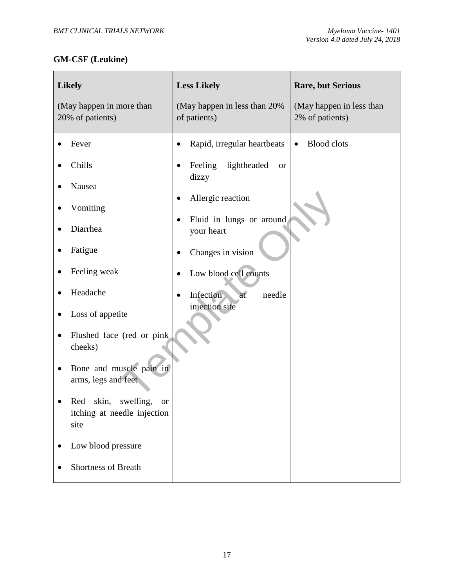# **GM-CSF (Leukine)**

| <b>Likely</b>                                                                                                                                                                                                                                                                                                                                 | <b>Less Likely</b>                                                                                                                                                                                                                                             | <b>Rare, but Serious</b>        |
|-----------------------------------------------------------------------------------------------------------------------------------------------------------------------------------------------------------------------------------------------------------------------------------------------------------------------------------------------|----------------------------------------------------------------------------------------------------------------------------------------------------------------------------------------------------------------------------------------------------------------|---------------------------------|
| (May happen in more than                                                                                                                                                                                                                                                                                                                      | (May happen in less than 20%                                                                                                                                                                                                                                   | (May happen in less than        |
| 20% of patients)                                                                                                                                                                                                                                                                                                                              | of patients)                                                                                                                                                                                                                                                   | 2% of patients)                 |
| Fever<br>Chills<br>Nausea<br>Vomiting<br>Diarrhea<br>Fatigue<br>Feeling weak<br>Headache<br>Loss of appetite<br>Flushed face (red or pink)<br>cheeks)<br>Bone and muscle pain in<br>arms, legs and feet<br>Red skin,<br>swelling,<br><sub>or</sub><br>itching at needle injection<br>site<br>Low blood pressure<br><b>Shortness of Breath</b> | Rapid, irregular heartbeats<br>$\bullet$<br>Feeling<br>lightheaded<br><b>or</b><br>dizzy<br>Allergic reaction<br>٠<br>Fluid in lungs or around<br>٠<br>your heart<br>Changes in vision<br>Low blood cell counts<br>Infection<br>needle<br>at<br>injection site | <b>Blood</b> clots<br>$\bullet$ |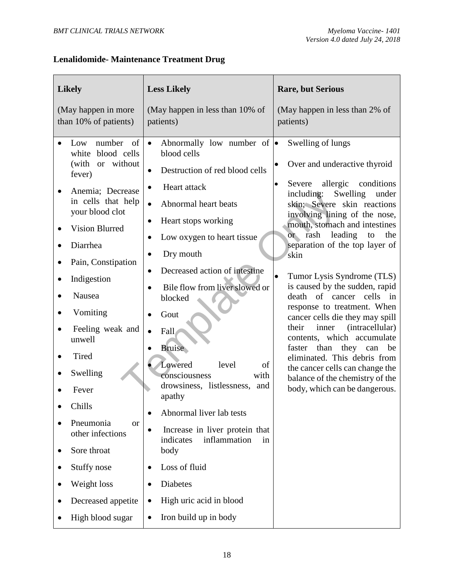# **Lenalidomide- Maintenance Treatment Drug**

| <b>Likely</b>                                                                                                                                                                                                                                                                                                                                                                                                                                  | <b>Less Likely</b>                                                                                                                                                                                                                                                                                                                                                                                                                                                                                                                                                                                                                                                                                         | <b>Rare, but Serious</b>                                                                                                                                                                                                                                                                                                                                                                                                                                                                                                                                                                                                                                                                                                                                  |
|------------------------------------------------------------------------------------------------------------------------------------------------------------------------------------------------------------------------------------------------------------------------------------------------------------------------------------------------------------------------------------------------------------------------------------------------|------------------------------------------------------------------------------------------------------------------------------------------------------------------------------------------------------------------------------------------------------------------------------------------------------------------------------------------------------------------------------------------------------------------------------------------------------------------------------------------------------------------------------------------------------------------------------------------------------------------------------------------------------------------------------------------------------------|-----------------------------------------------------------------------------------------------------------------------------------------------------------------------------------------------------------------------------------------------------------------------------------------------------------------------------------------------------------------------------------------------------------------------------------------------------------------------------------------------------------------------------------------------------------------------------------------------------------------------------------------------------------------------------------------------------------------------------------------------------------|
| (May happen in more<br>than 10% of patients)                                                                                                                                                                                                                                                                                                                                                                                                   | (May happen in less than 10% of<br>patients)                                                                                                                                                                                                                                                                                                                                                                                                                                                                                                                                                                                                                                                               | (May happen in less than 2% of<br>patients)                                                                                                                                                                                                                                                                                                                                                                                                                                                                                                                                                                                                                                                                                                               |
| number<br>of<br>Low<br>white blood cells<br>(with or without<br>fever)<br>Anemia; Decrease<br>in cells that help<br>your blood clot<br><b>Vision Blurred</b><br>Diarrhea<br>Pain, Constipation<br>Indigestion<br>Nausea<br>Vomiting<br>Feeling weak and<br>unwell<br>Tired<br>Swelling<br>Fever<br>Chills<br>Pneumonia<br><b>or</b><br>other infections<br>Sore throat<br>Stuffy nose<br>Weight loss<br>Decreased appetite<br>High blood sugar | Abnormally low number of $\bullet$<br>$\bullet$<br>blood cells<br>Destruction of red blood cells<br>$\bullet$<br>Heart attack<br>Abnormal heart beats<br>Heart stops working<br>$\bullet$<br>Low oxygen to heart tissue<br>Dry mouth<br>$\bullet$<br>Decreased action of intestine<br>$\bullet$<br>Bile flow from liver slowed or<br>blocked<br>Gout<br>Fall<br>Bruise<br>Lowered<br>level<br>of<br>consciousness<br>with<br>drowsiness, listlessness, and<br>apathy<br>Abnormal liver lab tests<br>Increase in liver protein that<br>indicates<br>inflammation<br>in<br>body<br>Loss of fluid<br>٠<br>Diabetes<br>$\bullet$<br>High uric acid in blood<br>$\bullet$<br>Iron build up in body<br>$\bullet$ | Swelling of lungs<br>Over and underactive thyroid<br>$\bullet$<br>allergic<br>conditions<br>Severe<br>$\bullet$<br>Swelling<br>including:<br>under<br>skin; Severe skin reactions<br>involving lining of the nose,<br>mouth, stomach and intestines<br>leading<br>or rash<br>the<br>to<br>separation of the top layer of<br>skin<br>Tumor Lysis Syndrome (TLS)<br>$\bullet$<br>is caused by the sudden, rapid<br>death of cancer cells<br>in<br>response to treatment. When<br>cancer cells die they may spill<br>inner<br>(intracellular)<br>their<br>contents, which accumulate<br>than they can<br>faster<br>be<br>eliminated. This debris from<br>the cancer cells can change the<br>balance of the chemistry of the<br>body, which can be dangerous. |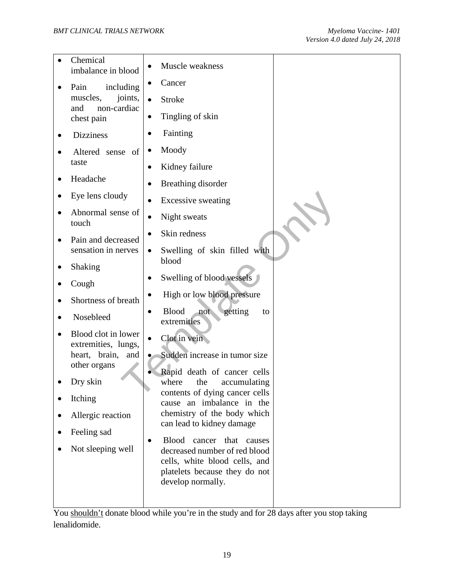|  | Chemical<br>imbalance in blood             | Muscle weakness                                                |
|--|--------------------------------------------|----------------------------------------------------------------|
|  | including<br>Pain                          | Cancer                                                         |
|  | muscles,<br>joints,<br>non-cardiac<br>and  | <b>Stroke</b>                                                  |
|  | chest pain                                 | Tingling of skin                                               |
|  | <b>Dizziness</b>                           | Fainting                                                       |
|  | Altered sense of                           | Moody                                                          |
|  | taste                                      | Kidney failure<br>$\bullet$                                    |
|  | Headache                                   | Breathing disorder                                             |
|  | Eye lens cloudy                            | <b>Excessive sweating</b>                                      |
|  | Abnormal sense of<br>touch                 | Night sweats                                                   |
|  | Pain and decreased<br>sensation in nerves  | Skin redness                                                   |
|  |                                            | Swelling of skin filled with                                   |
|  | Shaking                                    | blood                                                          |
|  | Cough                                      | Swelling of blood vessels                                      |
|  | Shortness of breath                        | High or low blood pressure                                     |
|  | Nosebleed                                  | <b>Blood</b><br>getting<br>not<br>to<br>extremities            |
|  | Blood clot in lower<br>extremities, lungs, | Clot in vein                                                   |
|  | heart, brain, and                          | Sudden increase in tumor size                                  |
|  | other organs                               | Rapid death of cancer cells                                    |
|  | Dry skin                                   | where<br>the<br>accumulating<br>contents of dying cancer cells |
|  | Itching                                    | cause an imbalance in the                                      |
|  | Allergic reaction                          | chemistry of the body which<br>can lead to kidney damage       |
|  | Feeling sad                                | <b>Blood</b><br>cancer that causes                             |
|  | Not sleeping well                          | decreased number of red blood                                  |
|  |                                            | cells, white blood cells, and<br>platelets because they do not |
|  |                                            | develop normally.                                              |
|  |                                            |                                                                |

You shouldn't donate blood while you're in the study and for 28 days after you stop taking lenalidomide.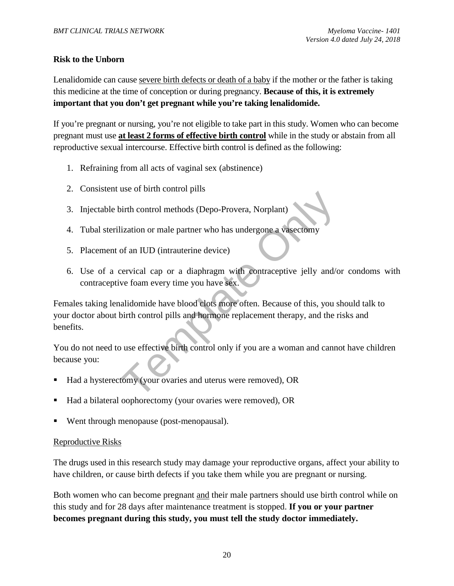#### **Risk to the Unborn**

Lenalidomide can cause severe birth defects or death of a baby if the mother or the father is taking this medicine at the time of conception or during pregnancy. **Because of this, it is extremely important that you don't get pregnant while you're taking lenalidomide.**

If you're pregnant or nursing, you're not eligible to take part in this study. Women who can become pregnant must use **at least 2 forms of effective birth control** while in the study or abstain from all reproductive sexual intercourse. Effective birth control is defined as the following:

- 1. Refraining from all acts of vaginal sex (abstinence)
- 2. Consistent use of birth control pills
- 3. Injectable birth control methods (Depo-Provera, Norplant)
- 4. Tubal sterilization or male partner who has undergone a vasectomy
- 5. Placement of an IUD (intrauterine device)
- 6. Use of a cervical cap or a diaphragm with contraceptive jelly and/or condoms with contraceptive foam every time you have sex.

Template Only Females taking lenalidomide have blood clots more often. Because of this, you should talk to your doctor about birth control pills and hormone replacement therapy, and the risks and benefits.

You do not need to use effective birth control only if you are a woman and cannot have children because you:

- Had a hysterectomy (your ovaries and uterus were removed), OR
- Had a bilateral oophorectomy (your ovaries were removed), OR
- Went through menopause (post-menopausal).

#### Reproductive Risks

The drugs used in this research study may damage your reproductive organs, affect your ability to have children, or cause birth defects if you take them while you are pregnant or nursing.

Both women who can become pregnant and their male partners should use birth control while on this study and for 28 days after maintenance treatment is stopped. **If you or your partner becomes pregnant during this study, you must tell the study doctor immediately.**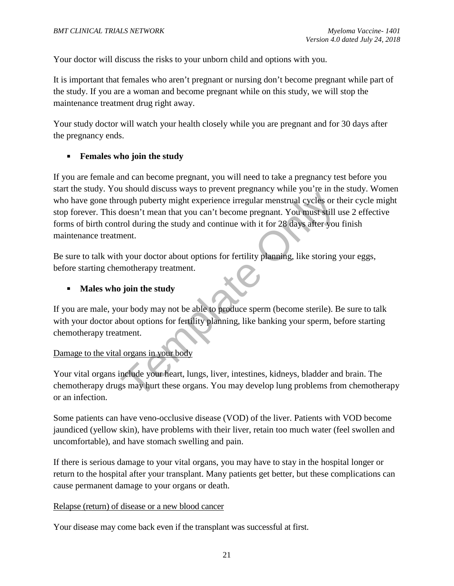Your doctor will discuss the risks to your unborn child and options with you.

It is important that females who aren't pregnant or nursing don't become pregnant while part of the study. If you are a woman and become pregnant while on this study, we will stop the maintenance treatment drug right away.

Your study doctor will watch your health closely while you are pregnant and for 30 days after the pregnancy ends.

#### **Females who join the study**

ough puberty might experience irregular menstrual cycles or the<br>doesn't mean that you can't become pregnant. You must still to<br>doesn't mean that you can't become pregnant. You must still trol<br>during the study and continue If you are female and can become pregnant, you will need to take a pregnancy test before you start the study. You should discuss ways to prevent pregnancy while you're in the study. Women who have gone through puberty might experience irregular menstrual cycles or their cycle might stop forever. This doesn't mean that you can't become pregnant. You must still use 2 effective forms of birth control during the study and continue with it for 28 days after you finish maintenance treatment.

Be sure to talk with your doctor about options for fertility planning, like storing your eggs, before starting chemotherapy treatment.

#### **Males who join the study**

If you are male, your body may not be able to produce sperm (become sterile). Be sure to talk with your doctor about options for fertility planning, like banking your sperm, before starting chemotherapy treatment.

#### Damage to the vital organs in your body

Your vital organs include your heart, lungs, liver, intestines, kidneys, bladder and brain. The chemotherapy drugs may hurt these organs. You may develop lung problems from chemotherapy or an infection.

Some patients can have veno-occlusive disease (VOD) of the liver. Patients with VOD become jaundiced (yellow skin), have problems with their liver, retain too much water (feel swollen and uncomfortable), and have stomach swelling and pain.

If there is serious damage to your vital organs, you may have to stay in the hospital longer or return to the hospital after your transplant. Many patients get better, but these complications can cause permanent damage to your organs or death.

#### Relapse (return) of disease or a new blood cancer

Your disease may come back even if the transplant was successful at first.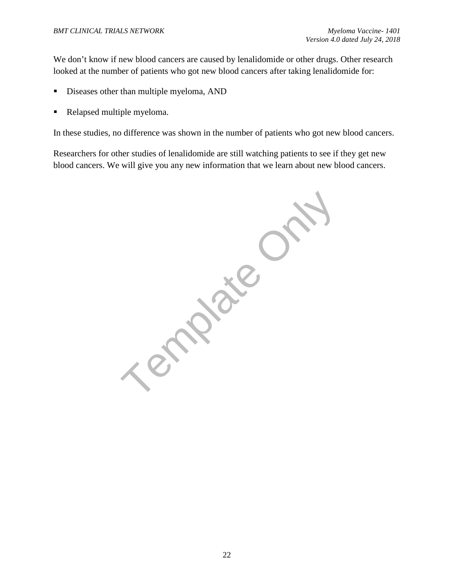We don't know if new blood cancers are caused by lenalidomide or other drugs. Other research looked at the number of patients who got new blood cancers after taking lenalidomide for:

- Diseases other than multiple myeloma, AND
- Relapsed multiple myeloma.

In these studies, no difference was shown in the number of patients who got new blood cancers.

Researchers for other studies of lenalidomide are still watching patients to see if they get new blood cancers. We will give you any new information that we learn about new blood cancers.

Template Only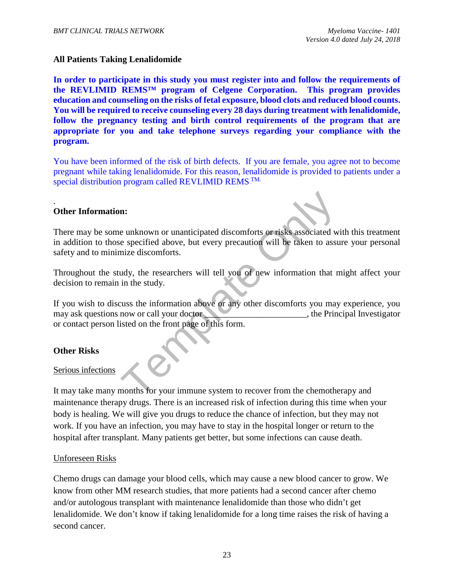#### **All Patients Taking Lenalidomide**

**In order to participate in this study you must register into and follow the requirements of the REVLIMID REMS™ program of Celgene Corporation. This program provides education and counseling on the risks of fetal exposure, blood clots and reduced blood counts. You will be required to receive counseling every 28 days during treatment with lenalidomide, follow the pregnancy testing and birth control requirements of the program that are appropriate for you and take telephone surveys regarding your compliance with the program.** 

You have been informed of the risk of birth defects. If you are female, you agree not to become pregnant while taking lenalidomide. For this reason, lenalidomide is provided to patients under a special distribution program called REVLIMID REMS<sup>TM.</sup>

#### . **Other Information:**

**n:**<br> **e** unknown or unanticipated discomforts or risks associated we specified above, but every precaution will be taken to assumize discomforts.<br>
udy, the researchers will tell you of new information that n<br>
in the study There may be some unknown or unanticipated discomforts or risks associated with this treatment in addition to those specified above, but every precaution will be taken to assure your personal safety and to minimize discomforts.

Throughout the study, the researchers will tell you of new information that might affect your decision to remain in the study.

If you wish to discuss the information above or any other discomforts you may experience, you may ask questions now or call your doctor that the Principal Investigator or contact person listed on the front page of this form.

#### **Other Risks**

#### Serious infections

It may take many months for your immune system to recover from the chemotherapy and maintenance therapy drugs. There is an increased risk of infection during this time when your body is healing. We will give you drugs to reduce the chance of infection, but they may not work. If you have an infection, you may have to stay in the hospital longer or return to the hospital after transplant. Many patients get better, but some infections can cause death.

#### Unforeseen Risks

Chemo drugs can damage your blood cells, which may cause a new blood cancer to grow. We know from other MM research studies, that more patients had a second cancer after chemo and/or autologous transplant with maintenance lenalidomide than those who didn't get lenalidomide. We don't know if taking lenalidomide for a long time raises the risk of having a second cancer.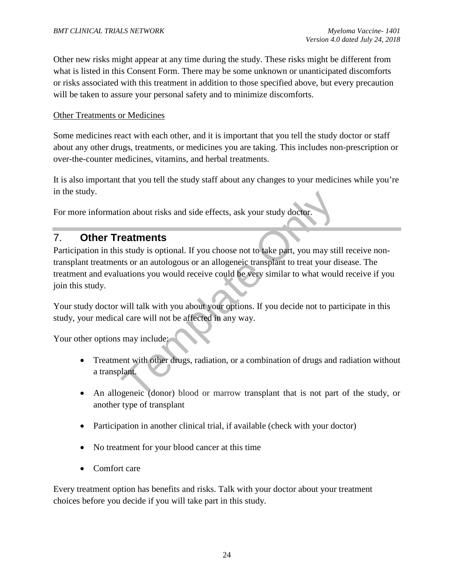Other new risks might appear at any time during the study. These risks might be different from what is listed in this Consent Form. There may be some unknown or unanticipated discomforts or risks associated with this treatment in addition to those specified above, but every precaution will be taken to assure your personal safety and to minimize discomforts.

#### Other Treatments or Medicines

Some medicines react with each other, and it is important that you tell the study doctor or staff about any other drugs, treatments, or medicines you are taking. This includes non-prescription or over-the-counter medicines, vitamins, and herbal treatments.

It is also important that you tell the study staff about any changes to your medicines while you're in the study.

For more information about risks and side effects, ask your study doctor.

# 7. **Other Treatments**

ion about risks and side effects, ask your study doctor.<br> **Catments**<br>
S study is optional. If you choose not to take part, you may still<br>
this or an autologous or an allogeneic transplant to treat your divided<br>
will talk w Participation in this study is optional. If you choose not to take part, you may still receive nontransplant treatments or an autologous or an allogeneic transplant to treat your disease. The treatment and evaluations you would receive could be very similar to what would receive if you join this study.

Your study doctor will talk with you about your options. If you decide not to participate in this study, your medical care will not be affected in any way.

Your other options may include:

- Treatment with other drugs, radiation, or a combination of drugs and radiation without a transplant.
- An allogeneic (donor) blood or marrow transplant that is not part of the study, or another type of transplant
- Participation in another clinical trial, if available (check with your doctor)
- No treatment for your blood cancer at this time
- Comfort care

Every treatment option has benefits and risks. Talk with your doctor about your treatment choices before you decide if you will take part in this study.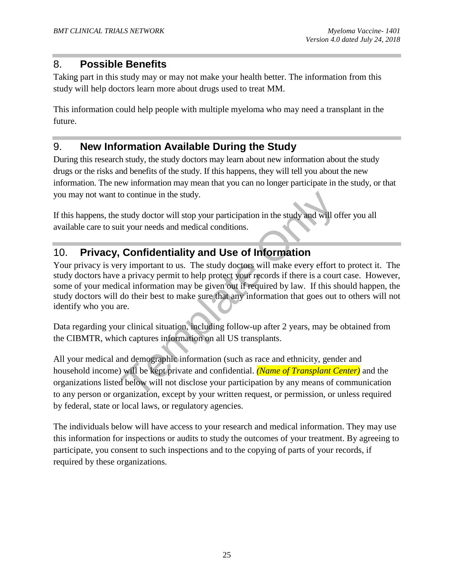# 8. **Possible Benefits**

Taking part in this study may or may not make your health better. The information from this study will help doctors learn more about drugs used to treat MM.

This information could help people with multiple myeloma who may need a transplant in the future.

# 9. **New Information Available During the Study**

During this research study, the study doctors may learn about new information about the study drugs or the risks and benefits of the study. If this happens, they will tell you about the new information. The new information may mean that you can no longer participate in the study, or that you may not want to continue in the study.

If this happens, the study doctor will stop your participation in the study and will offer you all available care to suit your needs and medical conditions.

# 10. **Privacy, Confidentiality and Use of Information**

to continue in the study.<br>
study doctor will stop your participation in the study and will of<br>
it your needs and medical conditions.<br> **Confidentiality and Use of Information**<br>
ry important to us. The study doctors will mak Your privacy is very important to us. The study doctors will make every effort to protect it. The study doctors have a privacy permit to help protect your records if there is a court case. However, some of your medical information may be given out if required by law. If this should happen, the study doctors will do their best to make sure that any information that goes out to others will not identify who you are.

Data regarding your clinical situation, including follow-up after 2 years, may be obtained from the CIBMTR, which captures information on all US transplants.

All your medical and demographic information (such as race and ethnicity, gender and household income) will be kept private and confidential. *(Name of Transplant Center)* and the organizations listed below will not disclose your participation by any means of communication to any person or organization, except by your written request, or permission, or unless required by federal, state or local laws, or regulatory agencies.

The individuals below will have access to your research and medical information. They may use this information for inspections or audits to study the outcomes of your treatment. By agreeing to participate, you consent to such inspections and to the copying of parts of your records, if required by these organizations.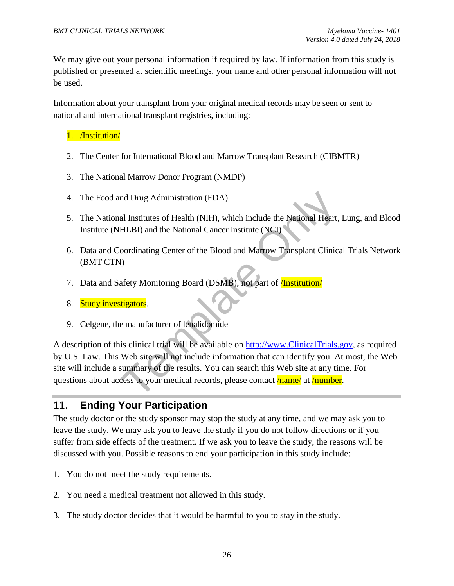We may give out your personal information if required by law. If information from this study is published or presented at scientific meetings, your name and other personal information will not be used.

Information about your transplant from your original medical records may be seen or sent to national and international transplant registries, including:

#### 1. /Institution/

- 2. The Center for International Blood and Marrow Transplant Research (CIBMTR)
- 3. The National Marrow Donor Program (NMDP)
- 4. The Food and Drug Administration (FDA)
- 5. The National Institutes of Health (NIH), which include the National Heart, Lung, and Blood Institute (NHLBI) and the National Cancer Institute (NCI)
- 6. Data and Coordinating Center of the Blood and Marrow Transplant Clinical Trials Network (BMT CTN)
- 7. Data and Safety Monitoring Board (DSMB), not part of **Institution**
- 8. Study investigators.
- 9. Celgene, the manufacturer of lenalidomide

nd Drug Administration (FDA)<br>al Institutes of Health (NIH), which include the National Heart,<br>HLBI) and the National Cancer Institute (NCI)<br>coordinating Center of the Blood and Marrow Transplant Clinic:<br>(1)<br>afety Monitorin A description of this clinical trial will be available on http://www.ClinicalTrials.gov*,* as required by U.S. Law. This Web site will not include information that can identify you. At most, the Web site will include a summary of the results. You can search this Web site at any time. For questions about access to your medical records, please contact **/name/** at **/number.** 

# 11. **Ending Your Participation**

The study doctor or the study sponsor may stop the study at any time, and we may ask you to leave the study. We may ask you to leave the study if you do not follow directions or if you suffer from side effects of the treatment. If we ask you to leave the study, the reasons will be discussed with you. Possible reasons to end your participation in this study include:

- 1. You do not meet the study requirements.
- 2. You need a medical treatment not allowed in this study.
- 3. The study doctor decides that it would be harmful to you to stay in the study.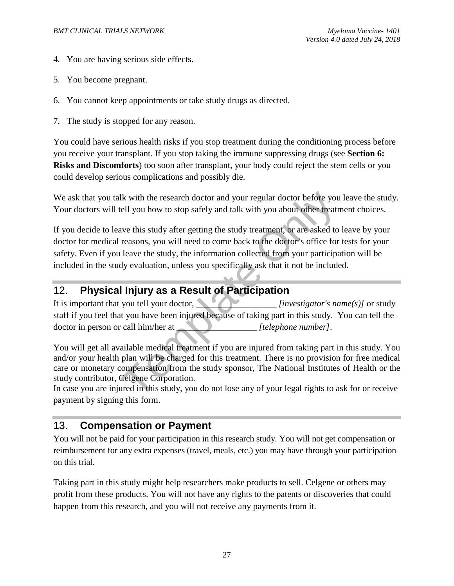- 4. You are having serious side effects.
- 5. You become pregnant.
- 6. You cannot keep appointments or take study drugs as directed.
- 7. The study is stopped for any reason.

You could have serious health risks if you stop treatment during the conditioning process before you receive your transplant. If you stop taking the immune suppressing drugs (see **Section 6: Risks and Discomforts**) too soon after transplant, your body could reject the stem cells or you could develop serious complications and possibly die.

We ask that you talk with the research doctor and your regular doctor before you leave the study. Your doctors will tell you how to stop safely and talk with you about other treatment choices.

Ik with the research doctor and your regular doctor before you<br>tell you how to stop safely and talk with you about other treatr<br>ave this study after getting the study treatment, or are asked to<br>reasons, you will need to co If you decide to leave this study after getting the study treatment, or are asked to leave by your doctor for medical reasons, you will need to come back to the doctor's office for tests for your safety. Even if you leave the study, the information collected from your participation will be included in the study evaluation, unless you specifically ask that it not be included.

# 12. **Physical Injury as a Result of Participation**

It is important that you tell your doctor, *laterally constructed that investigator's name(s)]* or study staff if you feel that you have been injured because of taking part in this study. You can tell the doctor in person or call him/her at **the example of the example of the example of the example of the example of the example of the example of the example of the example of the example of the example of the example of the e** 

You will get all available medical treatment if you are injured from taking part in this study. You and/or your health plan will be charged for this treatment. There is no provision for free medical care or monetary compensation from the study sponsor, The National Institutes of Health or the study contributor, Celgene Corporation.

In case you are injured in this study, you do not lose any of your legal rights to ask for or receive payment by signing this form.

## 13. **Compensation or Payment**

You will not be paid for your participation in this research study. You will not get compensation or reimbursement for any extra expenses (travel, meals, etc.) you may have through your participation on this trial.

Taking part in this study might help researchers make products to sell. Celgene or others may profit from these products. You will not have any rights to the patents or discoveries that could happen from this research, and you will not receive any payments from it.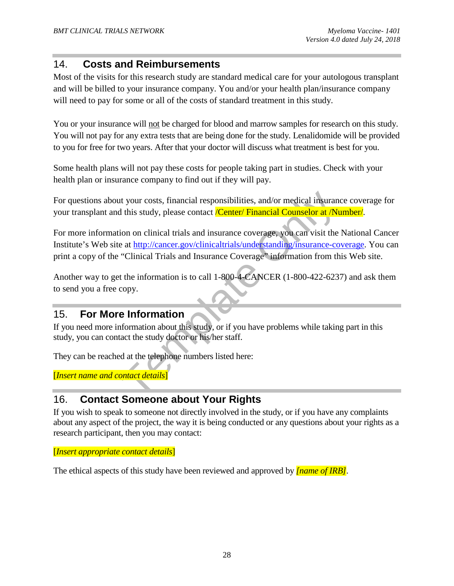# 14. **Costs and Reimbursements**

Most of the visits for this research study are standard medical care for your autologous transplant and will be billed to your insurance company. You and/or your health plan/insurance company will need to pay for some or all of the costs of standard treatment in this study.

You or your insurance will not be charged for blood and marrow samples for research on this study. You will not pay for any extra tests that are being done for the study. Lenalidomide will be provided to you for free for two years. After that your doctor will discuss what treatment is best for you.

Some health plans will not pay these costs for people taking part in studies. Check with your health plan or insurance company to find out if they will pay.

For questions about your costs, financial responsibilities, and/or medical insurance coverage for your transplant and this study, please contact */Center/ Financial Counselor at /Number/*.

It your costs, financial responsibilities, and/or medical insurand this study, please contact */Center/* Financial Counselor at /N<br>ion on clinical trials and insurance coverage, you can visit the<br>e at <u>http://cancer.gov/cl</u> For more information on clinical trials and insurance coverage, you can visit the National Cancer Institute's Web site at http://cancer.gov/clinicaltrials/understanding/insurance-coverage. You can print a copy of the "Clinical Trials and Insurance Coverage" information from this Web site.

Another way to get the information is to call 1-800-4**-**CANCER (1-800-422-6237) and ask them to send you a free copy.

# 15. **For More Information**

If you need more information about this study, or if you have problems while taking part in this study, you can contact the study doctor or his/her staff.

They can be reached at the telephone numbers listed here:

[*Insert name and contact details*]

# 16. **Contact Someone about Your Rights**

If you wish to speak to someone not directly involved in the study, or if you have any complaints about any aspect of the project, the way it is being conducted or any questions about your rights as a research participant, then you may contact:

[*Insert appropriate contact details*]

The ethical aspects of this study have been reviewed and approved by *[name of IRB]*.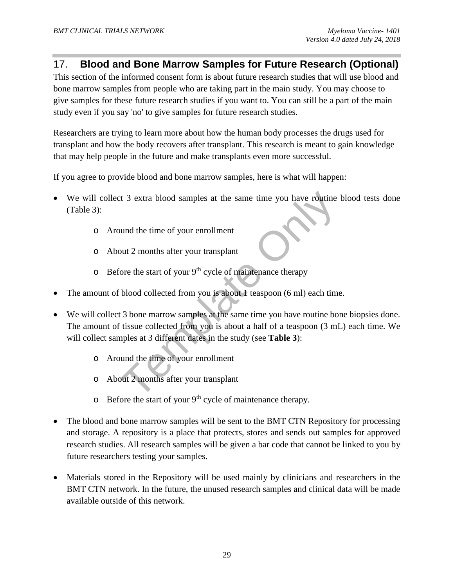# 17. **Blood and Bone Marrow Samples for Future Research (Optional)**

This section of the informed consent form is about future research studies that will use blood and bone marrow samples from people who are taking part in the main study. You may choose to give samples for these future research studies if you want to. You can still be a part of the main study even if you say 'no' to give samples for future research studies.

Researchers are trying to learn more about how the human body processes the drugs used for transplant and how the body recovers after transplant. This research is meant to gain knowledge that may help people in the future and make transplants even more successful.

If you agree to provide blood and bone marrow samples, here is what will happen:

- We will collect 3 extra blood samples at the same time you have routine blood tests done (Table 3):
	- o Around the time of your enrollment
	- o About 2 months after your transplant
	- $\circ$  Before the start of your 9<sup>th</sup> cycle of maintenance therapy
- The amount of blood collected from you is about 1 teaspoon (6 ml) each time.
- 21 3 extra blood samples at the same time you have routine<br>
21 3 extra blood samples at the same time you have routine<br>
21 months after your enrollment<br>
22 months after your transplant<br>
21 only 9<sup>th</sup> cycle of maintenance • We will collect 3 bone marrow samples at the same time you have routine bone biopsies done. The amount of tissue collected from you is about a half of a teaspoon (3 mL) each time. We will collect samples at 3 different dates in the study (see **Table 3**):
	- o Around the time of your enrollment
	- o About 2 months after your transplant
	- $\circ$  Before the start of your 9<sup>th</sup> cycle of maintenance therapy.
- The blood and bone marrow samples will be sent to the BMT CTN Repository for processing and storage. A repository is a place that protects, stores and sends out samples for approved research studies. All research samples will be given a bar code that cannot be linked to you by future researchers testing your samples.
- Materials stored in the Repository will be used mainly by clinicians and researchers in the BMT CTN network. In the future, the unused research samples and clinical data will be made available outside of this network.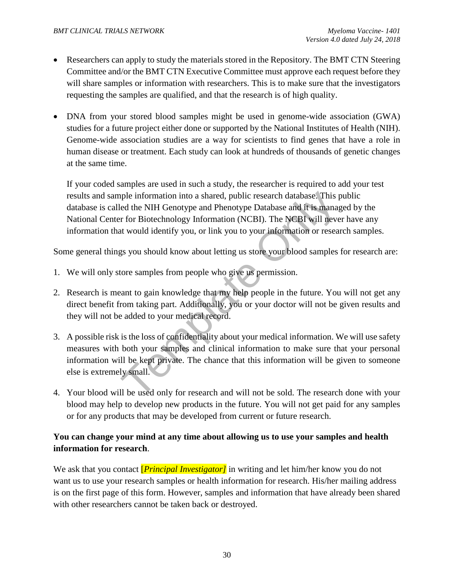- Researchers can apply to study the materials stored in the Repository. The BMT CTN Steering Committee and/or the BMT CTN Executive Committee must approve each request before they will share samples or information with researchers. This is to make sure that the investigators requesting the samples are qualified, and that the research is of high quality.
- DNA from your stored blood samples might be used in genome-wide association (GWA) studies for a future project either done or supported by the National Institutes of Health (NIH). Genome-wide association studies are a way for scientists to find genes that have a role in human disease or treatment. Each study can look at hundreds of thousands of genetic changes at the same time.

If your coded samples are used in such a study, the researcher is required to add your test results and sample information into a shared, public research database. This public database is called the NIH Genotype and Phenotype Database and it is managed by the National Center for Biotechnology Information (NCBI). The NCBI will never have any information that would identify you, or link you to your information or research samples.

Some general things you should know about letting us store your blood samples for research are:

- 1. We will only store samples from people who give us permission.
- 2. Research is meant to gain knowledge that my help people in the future. You will not get any direct benefit from taking part. Additionally, you or your doctor will not be given results and they will not be added to your medical record.
- pple information into a shared, public research database. This jeed the NIH Genotype and Phenotype Database and it is manager or for Biotechnology Information (NCBI). The NCBI will never at would identify you, or link you 3. A possible risk is the loss of confidentiality about your medical information. We will use safety measures with both your samples and clinical information to make sure that your personal information will be kept private. The chance that this information will be given to someone else is extremely small.
- 4. Your blood will be used only for research and will not be sold. The research done with your blood may help to develop new products in the future. You will not get paid for any samples or for any products that may be developed from current or future research.

#### **You can change your mind at any time about allowing us to use your samples and health information for research**.

We ask that you contact [*Principal Investigator]* in writing and let him/her know you do not want us to use your research samples or health information for research. His/her mailing address is on the first page of this form. However, samples and information that have already been shared with other researchers cannot be taken back or destroyed.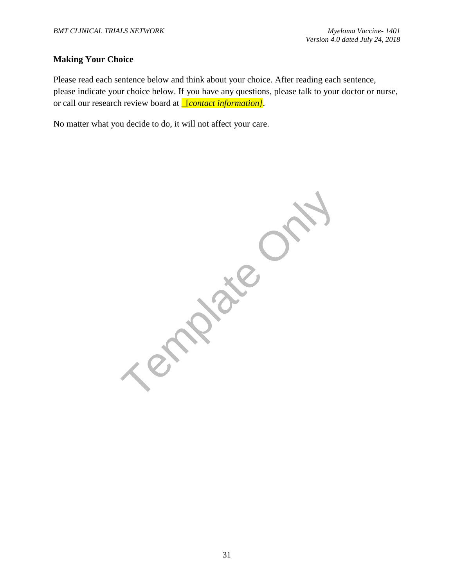#### **Making Your Choice**

Please read each sentence below and think about your choice. After reading each sentence, please indicate your choice below. If you have any questions, please talk to your doctor or nurse, or call our research review board at \_[*contact information].*

No matter what you decide to do, it will not affect your care.

Template C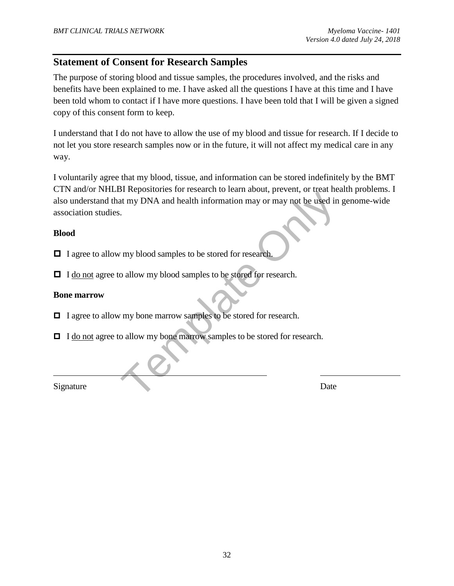# **Statement of Consent for Research Samples**

The purpose of storing blood and tissue samples, the procedures involved, and the risks and benefits have been explained to me. I have asked all the questions I have at this time and I have been told whom to contact if I have more questions. I have been told that I will be given a signed copy of this consent form to keep.

I understand that I do not have to allow the use of my blood and tissue for research. If I decide to not let you store research samples now or in the future, it will not affect my medical care in any way.

The political of Tobalcan is faith about, proving of the used in<br>the my DNA and health information may or may not be used in<br>the my blood samples to be stored for research.<br>The my bone marrow samples to be stored for resea I voluntarily agree that my blood, tissue, and information can be stored indefinitely by the BMT CTN and/or NHLBI Repositories for research to learn about, prevent, or treat health problems. I also understand that my DNA and health information may or may not be used in genome-wide association studies.

#### **Blood**

□ I agree to allow my blood samples to be stored for research.

□ I do not agree to allow my blood samples to be stored for research.

#### **Bone marrow**

□ I agree to allow my bone marrow samples to be stored for research.

□ I do not agree to allow my bone marrow samples to be stored for research.

Signature Date

 $\overline{a}$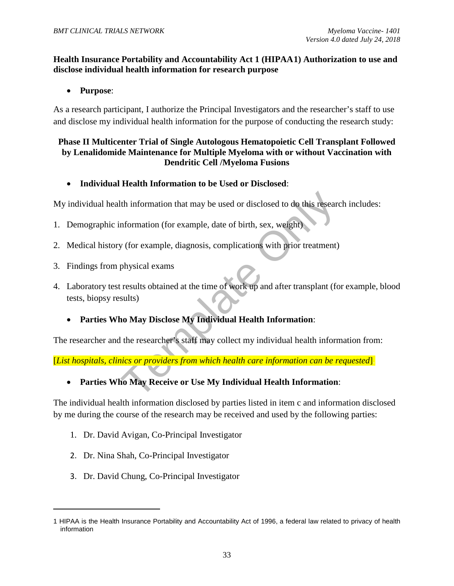#### **Health Insurance Portability and Accountability Act 1 (HIPAA1) Authorization to use and disclose individual health information for research purpose**

• **Purpose**:

As a research participant, I authorize the Principal Investigators and the researcher's staff to use and disclose my individual health information for the purpose of conducting the research study:

#### **Phase II Multicenter Trial of Single Autologous Hematopoietic Cell Transplant Followed by Lenalidomide Maintenance for Multiple Myeloma with or without Vaccination with Dendritic Cell /Myeloma Fusions**

• **Individual Health Information to be Used or Disclosed**:

My individual health information that may be used or disclosed to do this research includes:

- 1. Demographic information (for example, date of birth, sex, weight).
- 2. Medical history (for example, diagnosis, complications with prior treatment).
- 3. Findings from physical exams.
- Ith information that may be used or disclosed to do this researc<br>nformation (for example, date of birth, sex, weight)<br>y (for example, diagnosis, complications with prior treatment)<br>physical exams<br>results obtained at the ti 4. Laboratory test results obtained at the time of work up and after transplant (for example, blood tests, biopsy results).
	- **Parties Who May Disclose My Individual Health Information**:

The researcher and the researcher's staff may collect my individual health information from:

[*List hospitals, clinics or providers from which health care information can be requested*].

• **Parties Who May Receive or Use My Individual Health Information**:

The individual health information disclosed by parties listed in item c and information disclosed by me during the course of the research may be received and used by the following parties:

- 1. Dr. David Avigan, Co-Principal Investigator
- 2. Dr. Nina Shah, Co-Principal Investigator

l

3. Dr. David Chung, Co-Principal Investigator

<sup>1</sup> HIPAA is the Health Insurance Portability and Accountability Act of 1996, a federal law related to privacy of health information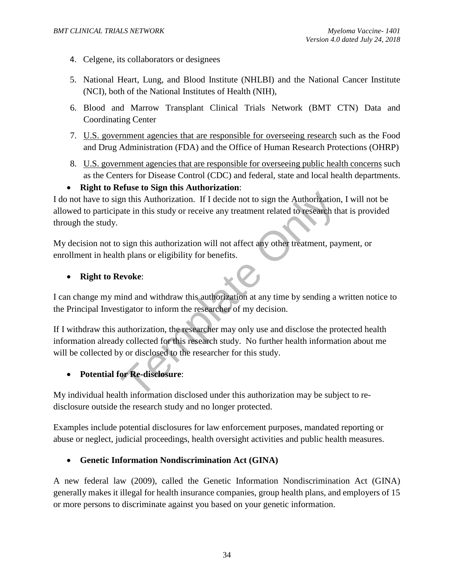- 4. Celgene, its collaborators or designees
- 5. National Heart, Lung, and Blood Institute (NHLBI) and the National Cancer Institute (NCI), both of the National Institutes of Health (NIH),
- 6. Blood and Marrow Transplant Clinical Trials Network (BMT CTN) Data and Coordinating Center
- 7. U.S. government agencies that are responsible for overseeing research such as the Food and Drug Administration (FDA) and the Office of Human Research Protections (OHRP)
- 8. U.S. government agencies that are responsible for overseeing public health concerns such as the Centers for Disease Control (CDC) and federal, state and local health departments.
- **Right to Refuse to Sign this Authorization**:

Example in this Authorization. If I decide not to sign the Authorization<br>ate in this study or receive any treatment related to research the<br>sign this authorization will not affect any other treatment, pay<br>the plans or elig I do not have to sign this Authorization. If I decide not to sign the Authorization, I will not be allowed to participate in this study or receive any treatment related to research that is provided through the study.

My decision not to sign this authorization will not affect any other treatment, payment, or enrollment in health plans or eligibility for benefits.

• **Right to Revoke**:

I can change my mind and withdraw this authorization at any time by sending a written notice to the Principal Investigator to inform the researcher of my decision.

If I withdraw this authorization, the researcher may only use and disclose the protected health information already collected for this research study. No further health information about me will be collected by or disclosed to the researcher for this study.

• **Potential for Re-disclosure**:

My individual health information disclosed under this authorization may be subject to redisclosure outside the research study and no longer protected.

Examples include potential disclosures for law enforcement purposes, mandated reporting or abuse or neglect, judicial proceedings, health oversight activities and public health measures.

#### • **Genetic Information Nondiscrimination Act (GINA)**

A new federal law (2009), called the Genetic Information Nondiscrimination Act (GINA) generally makes it illegal for health insurance companies, group health plans, and employers of 15 or more persons to discriminate against you based on your genetic information.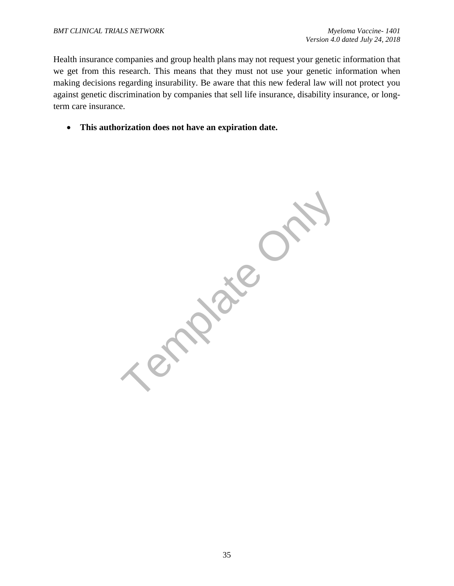Health insurance companies and group health plans may not request your genetic information that we get from this research. This means that they must not use your genetic information when making decisions regarding insurability. Be aware that this new federal law will not protect you against genetic discrimination by companies that sell life insurance, disability insurance, or longterm care insurance.

• **This authorization does not have an expiration date.**

**Mate Or**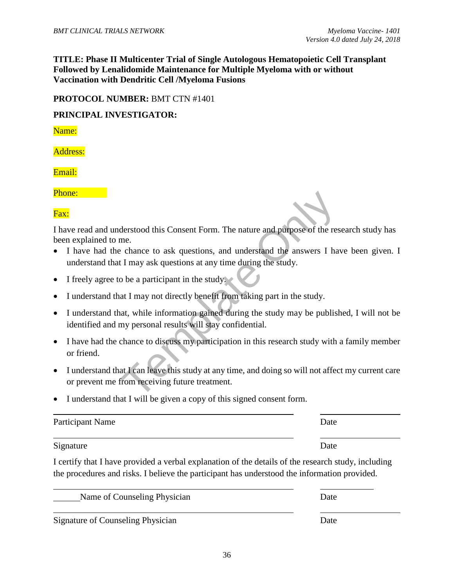**TITLE: Phase II Multicenter Trial of Single Autologous Hematopoietic Cell Transplant Followed by Lenalidomide Maintenance for Multiple Myeloma with or without Vaccination with Dendritic Cell /Myeloma Fusions**

#### **PROTOCOL NUMBER:** BMT CTN #1401

#### **PRINCIPAL INVESTIGATOR:**

Name:

Address:

Email:

Phone:

Fax:

 $\overline{a}$ 

I have read and understood this Consent Form. The nature and purpose of the research study has been explained to me.

- I have had the chance to ask questions, and understand the answers I have been given. I understand that I may ask questions at any time during the study.
- I freely agree to be a participant in the study.
- I understand that I may not directly benefit from taking part in the study.
- I understand that, while information gained during the study may be published, I will not be identified and my personal results will stay confidential.
- derstood this Consent Form. The nature and purpose of the response to ask questions, and understand the answers I had the may ask questions at any time during the study.<br>
Let I may ask questions at any time during the stud • I have had the chance to discuss my participation in this research study with a family member or friend.
- I understand that I can leave this study at any time, and doing so will not affect my current care or prevent me from receiving future treatment.
- I understand that I will be given a copy of this signed consent form.

| Participant Name | Date |
|------------------|------|
| Signature        | Date |

I certify that I have provided a verbal explanation of the details of the research study, including the procedures and risks. I believe the participant has understood the information provided.

| Name of Counseling Physician | <b>Date</b> |
|------------------------------|-------------|
|                              |             |

Signature of Counseling Physician Date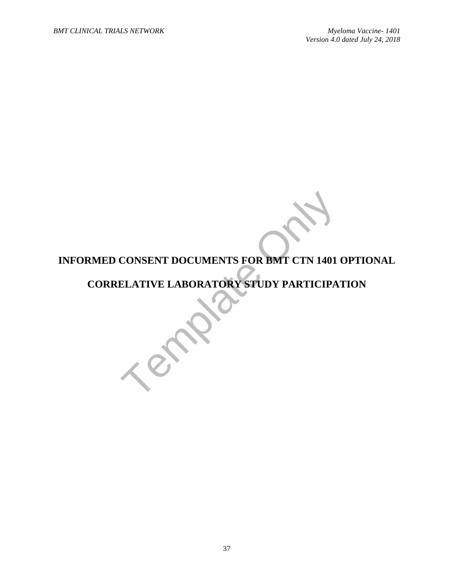# CONSENT DOCUMENTS FOR BMT CTN 1401 **INFORMED CONSENT DOCUMENTS FOR BMT CTN 1401 OPTIONAL**

# **CORRELATIVE LABORATORY STUDY PARTICIPATION**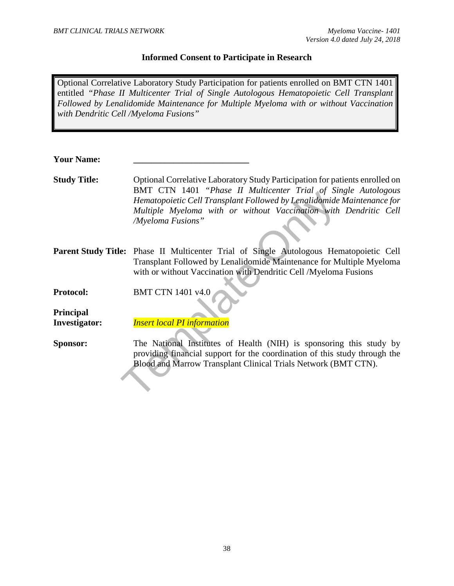#### **Informed Consent to Participate in Research**

Optional Correlative Laboratory Study Participation for patients enrolled on BMT CTN 1401 entitled *"Phase II Multicenter Trial of Single Autologous Hematopoietic Cell Transplant Followed by Lenalidomide Maintenance for Multiple Myeloma with or without Vaccination with Dendritic Cell /Myeloma Fusions"*

| <b>Your Name:</b> |  |
|-------------------|--|
|                   |  |

- Hematopoietic Cell Transplant Followed by Lenalidomide<br>
Hematopoietic Cell Transplant Followed by Lenalidomide<br>
Multiple Myeloma with or without Vaccination with<br>
Myeloma Fusions"<br>
e: Phase II Multicenter Trial of Single A **Study Title:** Optional Correlative Laboratory Study Participation for patients enrolled on BMT CTN 1401 *"Phase II Multicenter Trial of Single Autologous Hematopoietic Cell Transplant Followed by Lenalidomide Maintenance for Multiple Myeloma with or without Vaccination with Dendritic Cell /Myeloma Fusions"*
- **Parent Study Title:** Phase II Multicenter Trial of Single Autologous Hematopoietic Cell Transplant Followed by Lenalidomide Maintenance for Multiple Myeloma with or without Vaccination with Dendritic Cell /Myeloma Fusions
- **Protocol: BMT CTN 1401 v4.0**
- **Principal Investigator:** *Insert local PI information*
- **Sponsor:** The National Institutes of Health (NIH) is sponsoring this study by providing financial support for the coordination of this study through the Blood and Marrow Transplant Clinical Trials Network (BMT CTN).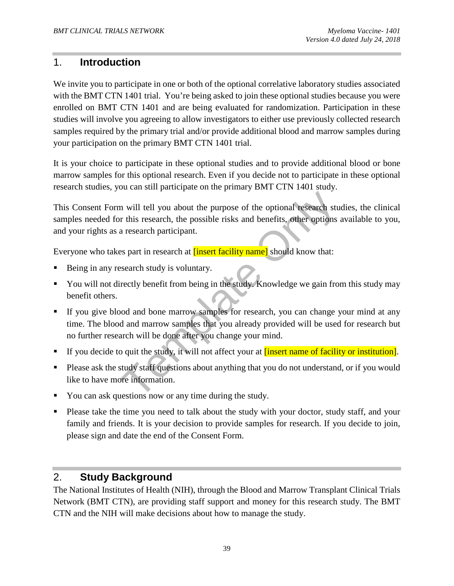# 1. **Introduction**

We invite you to participate in one or both of the optional correlative laboratory studies associated with the BMT CTN 1401 trial. You're being asked to join these optional studies because you were enrolled on BMT CTN 1401 and are being evaluated for randomization. Participation in these studies will involve you agreeing to allow investigators to either use previously collected research samples required by the primary trial and/or provide additional blood and marrow samples during your participation on the primary BMT CTN 1401 trial.

It is your choice to participate in these optional studies and to provide additional blood or bone marrow samples for this optional research. Even if you decide not to participate in these optional research studies, you can still participate on the primary BMT CTN 1401 study.

This Consent Form will tell you about the purpose of the optional research studies, the clinical samples needed for this research, the possible risks and benefits, other options available to you, and your rights as a research participant.

Everyone who takes part in research at **[insert facility name]** should know that:

- Being in any research study is voluntary.
- You will not directly benefit from being in the study. Knowledge we gain from this study may benefit others.
- In will tell you about the purpose of the optional research studies in this research, the possible risks and benefits, other options a research participant.<br>
In a research participant.<br>
In a research at **insert facility na**  If you give blood and bone marrow samples for research, you can change your mind at any time. The blood and marrow samples that you already provided will be used for research but no further research will be done after you change your mind.
- If you decide to quit the study, it will not affect your at **[insert name of facility or institution**].
- Please ask the study staff questions about anything that you do not understand, or if you would like to have more information.
- You can ask questions now or any time during the study.
- Please take the time you need to talk about the study with your doctor, study staff, and your family and friends. It is your decision to provide samples for research. If you decide to join, please sign and date the end of the Consent Form.

# 2. **Study Background**

The National Institutes of Health (NIH), through the Blood and Marrow Transplant Clinical Trials Network (BMT CTN), are providing staff support and money for this research study. The BMT CTN and the NIH will make decisions about how to manage the study.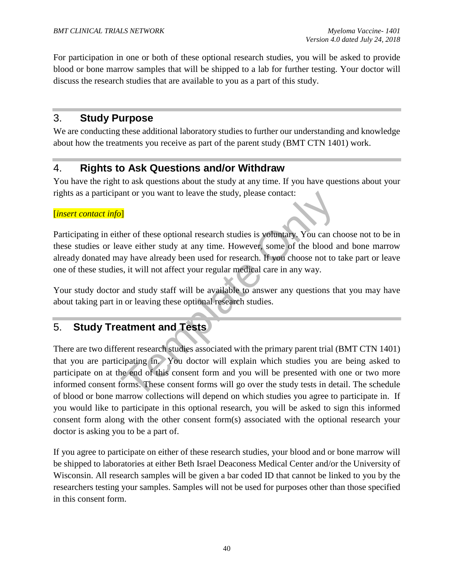For participation in one or both of these optional research studies, you will be asked to provide blood or bone marrow samples that will be shipped to a lab for further testing. Your doctor will discuss the research studies that are available to you as a part of this study.

# 3. **Study Purpose**

We are conducting these additional laboratory studies to further our understanding and knowledge about how the treatments you receive as part of the parent study (BMT CTN 1401) work.

# 4. **Rights to Ask Questions and/or Withdraw**

You have the right to ask questions about the study at any time. If you have questions about your rights as a participant or you want to leave the study, please contact:

#### [*insert contact info*]

Participating in either of these optional research studies is voluntary. You can choose not to be in these studies or leave either study at any time. However, some of the blood and bone marrow already donated may have already been used for research. If you choose not to take part or leave one of these studies, it will not affect your regular medical care in any way.

Your study doctor and study staff will be available to answer any questions that you may have about taking part in or leaving these optional research studies.

# 5. **Study Treatment and Tests**

**11**<br> **EXECUTE:**<br> **EXECUTE:**<br> **EXECUTE:**<br> **EXECUTE:**<br> **EXECUTE:**<br> **EXECUTE:**<br> **EXECUTE:**<br> **EXECUTE:**<br> **EXECUTE:**<br> **EXECUTE:**<br> **EXECUTE:**<br> **EXECUTE:**<br> **EXECUTE:**<br> **EXECUTE:**<br> **EXECUTE:**<br> **EXECUTE:**<br> **EXECUTE:**<br> **EXECUTE:**<br> There are two different research studies associated with the primary parent trial (BMT CTN 1401) that you are participating in. You doctor will explain which studies you are being asked to participate on at the end of this consent form and you will be presented with one or two more informed consent forms. These consent forms will go over the study tests in detail. The schedule of blood or bone marrow collections will depend on which studies you agree to participate in. If you would like to participate in this optional research, you will be asked to sign this informed consent form along with the other consent form(s) associated with the optional research your doctor is asking you to be a part of.

If you agree to participate on either of these research studies, your blood and or bone marrow will be shipped to laboratories at either Beth Israel Deaconess Medical Center and/or the University of Wisconsin. All research samples will be given a bar coded ID that cannot be linked to you by the researchers testing your samples. Samples will not be used for purposes other than those specified in this consent form.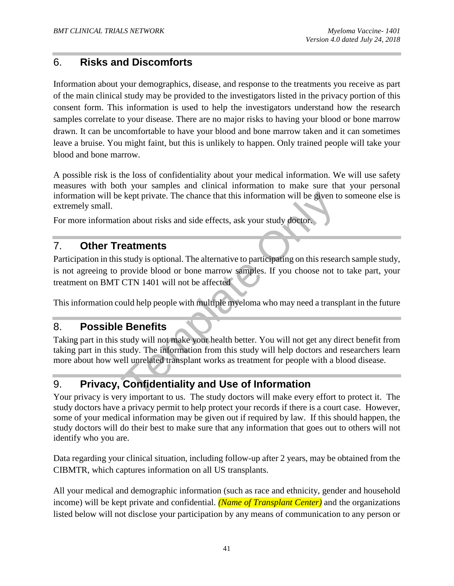# 6. **Risks and Discomforts**

Information about your demographics, disease, and response to the treatments you receive as part of the main clinical study may be provided to the investigators listed in the privacy portion of this consent form. This information is used to help the investigators understand how the research samples correlate to your disease. There are no major risks to having your blood or bone marrow drawn. It can be uncomfortable to have your blood and bone marrow taken and it can sometimes leave a bruise. You might faint, but this is unlikely to happen. Only trained people will take your blood and bone marrow.

A possible risk is the loss of confidentiality about your medical information. We will use safety measures with both your samples and clinical information to make sure that your personal information will be kept private. The chance that this information will be given to someone else is extremely small.

For more information about risks and side effects, ask your study doctor.

# 7. **Other Treatments**

Exept private. The chance that this information will be given to<br>
ion about risks and side effects, ask your study doctor.<br> **Condition**<br> **Condition**<br> **CONLY** is optional. The alternative to participating on this resear<br>
pr Participation in this study is optional. The alternative to participating on this research sample study, is not agreeing to provide blood or bone marrow samples. If you choose not to take part, your treatment on BMT CTN 1401 will not be affected

This information could help people with multiple myeloma who may need a transplant in the future

## 8. **Possible Benefits**

Taking part in this study will not make your health better. You will not get any direct benefit from taking part in this study. The information from this study will help doctors and researchers learn more about how well unrelated transplant works as treatment for people with a blood disease.

# 9. **Privacy, Confidentiality and Use of Information**

Your privacy is very important to us. The study doctors will make every effort to protect it. The study doctors have a privacy permit to help protect your records if there is a court case. However, some of your medical information may be given out if required by law. If this should happen, the study doctors will do their best to make sure that any information that goes out to others will not identify who you are.

Data regarding your clinical situation, including follow-up after 2 years, may be obtained from the CIBMTR, which captures information on all US transplants.

All your medical and demographic information (such as race and ethnicity, gender and household income) will be kept private and confidential. *(Name of Transplant Center)* and the organizations listed below will not disclose your participation by any means of communication to any person or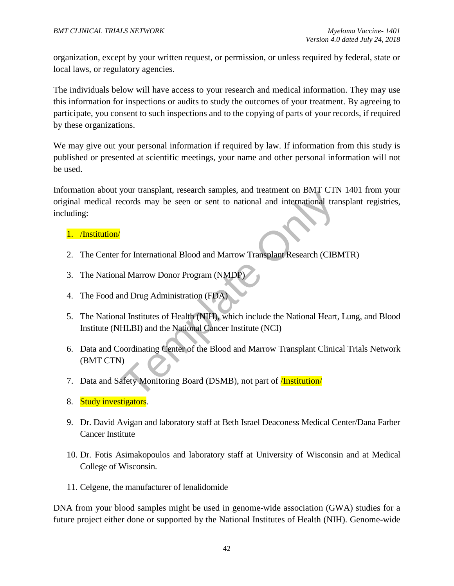organization, except by your written request, or permission, or unless required by federal, state or local laws, or regulatory agencies.

The individuals below will have access to your research and medical information. They may use this information for inspections or audits to study the outcomes of your treatment. By agreeing to participate, you consent to such inspections and to the copying of parts of your records, if required by these organizations.

We may give out your personal information if required by law. If information from this study is published or presented at scientific meetings, your name and other personal information will not be used.

Franch Contrast Parameters and Transfer and International transfer<br>acords may be seen or sent to national and international transferenced<br>for International Blood and Marrow Transplant Research (CIBN<br>al Marrow Donor Program Information about your transplant, research samples, and treatment on BMT CTN 1401 from your original medical records may be seen or sent to national and international transplant registries, including:

#### 1. /Institution/

- 2. The Center for International Blood and Marrow Transplant Research (CIBMTR)
- 3. The National Marrow Donor Program (NMDP)
- 4. The Food and Drug Administration (FDA)
- 5. The National Institutes of Health (NIH), which include the National Heart, Lung, and Blood Institute (NHLBI) and the National Cancer Institute (NCI)
- 6. Data and Coordinating Center of the Blood and Marrow Transplant Clinical Trials Network (BMT CTN)
- 7. Data and Safety Monitoring Board (DSMB), not part of **/Institution/**
- 8. Study investigators.
- 9. Dr. David Avigan and laboratory staff at Beth Israel Deaconess Medical Center/Dana Farber Cancer Institute
- 10. Dr. Fotis Asimakopoulos and laboratory staff at University of Wisconsin and at Medical College of Wisconsin.
- 11. Celgene, the manufacturer of lenalidomide

DNA from your blood samples might be used in genome-wide association (GWA) studies for a future project either done or supported by the National Institutes of Health (NIH). Genome-wide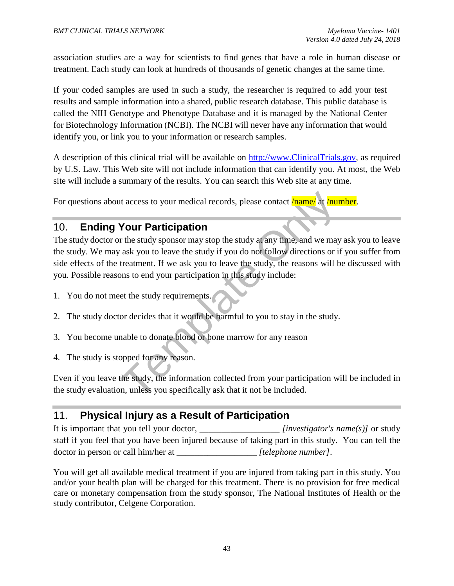association studies are a way for scientists to find genes that have a role in human disease or treatment. Each study can look at hundreds of thousands of genetic changes at the same time.

If your coded samples are used in such a study, the researcher is required to add your test results and sample information into a shared, public research database. This public database is called the NIH Genotype and Phenotype Database and it is managed by the National Center for Biotechnology Information (NCBI). The NCBI will never have any information that would identify you, or link you to your information or research samples.

A description of this clinical trial will be available on http://www.ClinicalTrials.gov*,* as required by U.S. Law. This Web site will not include information that can identify you. At most, the Web site will include a summary of the results. You can search this Web site at any time.

For questions about access to your medical records, please contact *name* at *number*.

# 10. **Ending Your Participation**

It access to your medical records, please contact <mark>/name/</mark> at <mark>/nume/</mark> at **/nume/** at **/nume/** at **/nume/** the study sponsor may stop the study af any time, and we may ask you to leave the study if you do not follow direct The study doctor or the study sponsor may stop the study at any time, and we may ask you to leave the study. We may ask you to leave the study if you do not follow directions or if you suffer from side effects of the treatment. If we ask you to leave the study, the reasons will be discussed with you. Possible reasons to end your participation in this study include:

- 1. You do not meet the study requirements.
- 2. The study doctor decides that it would be harmful to you to stay in the study.
- 3. You become unable to donate blood or bone marrow for any reason
- 4. The study is stopped for any reason.

Even if you leave the study, the information collected from your participation will be included in the study evaluation, unless you specifically ask that it not be included.

# 11. **Physical Injury as a Result of Participation**

It is important that you tell your doctor, *[investigator's name(s)]* or study staff if you feel that you have been injured because of taking part in this study. You can tell the doctor in person or call him/her at \_\_\_\_\_\_\_\_\_\_\_\_\_\_\_\_\_\_ *[telephone number]*.

You will get all available medical treatment if you are injured from taking part in this study. You and/or your health plan will be charged for this treatment. There is no provision for free medical care or monetary compensation from the study sponsor, The National Institutes of Health or the study contributor, Celgene Corporation.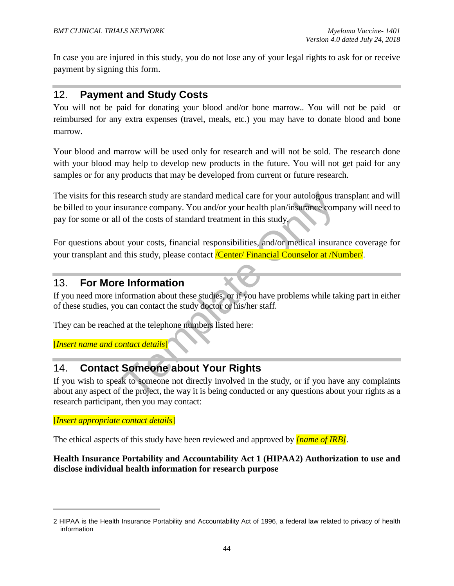In case you are injured in this study, you do not lose any of your legal rights to ask for or receive payment by signing this form.

# 12. **Payment and Study Costs**

You will not be paid for donating your blood and/or bone marrow.. You will not be paid or reimbursed for any extra expenses (travel, meals, etc.) you may have to donate blood and bone marrow.

Your blood and marrow will be used only for research and will not be sold. The research done with your blood may help to develop new products in the future. You will not get paid for any samples or for any products that may be developed from current or future research.

Exercise the standard medical care for your autologous train<br>the surance company. You and/or your health plan/insurance com<br>of the costs of standard treatment in this study.<br>The costs of standard treatment in this study.<br>T The visits for this research study are standard medical care for your autologous transplant and will be billed to your insurance company. You and/or your health plan/insurance company will need to pay for some or all of the costs of standard treatment in this study.

For questions about your costs, financial responsibilities, and/or medical insurance coverage for your transplant and this study, please contact */Center/ Financial Counselor at /Number/*.

# 13. **For More Information**

If you need more information about these studies, or if you have problems while taking part in either of these studies, you can contact the study doctor or his/her staff.

They can be reached at the telephone numbers listed here:

[*Insert name and contact details*]

# 14. **Contact Someone about Your Rights**

If you wish to speak to someone not directly involved in the study, or if you have any complaints about any aspect of the project, the way it is being conducted or any questions about your rights as a research participant, then you may contact:

#### [*Insert appropriate contact details*]

l

The ethical aspects of this study have been reviewed and approved by *[name of IRB]*.

#### **Health Insurance Portability and Accountability Act 1 (HIPAA2) Authorization to use and disclose individual health information for research purpose**

<sup>2</sup> HIPAA is the Health Insurance Portability and Accountability Act of 1996, a federal law related to privacy of health information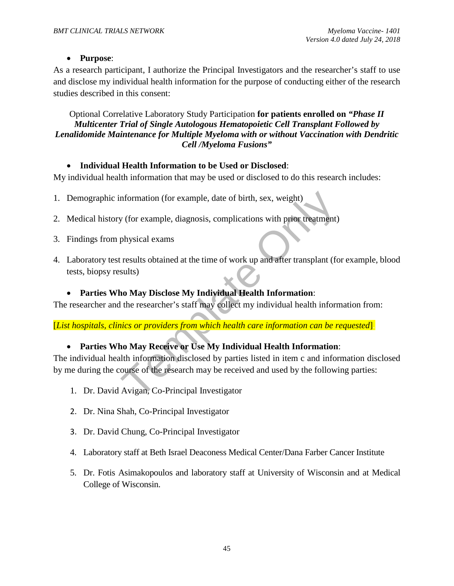#### • **Purpose**:

As a research participant, I authorize the Principal Investigators and the researcher's staff to use and disclose my individual health information for the purpose of conducting either of the research studies described in this consent:

Optional Correlative Laboratory Study Participation **for patients enrolled on** *"Phase II Multicenter Trial of Single Autologous Hematopoietic Cell Transplant Followed by Lenalidomide Maintenance for Multiple Myeloma with or without Vaccination with Dendritic Cell /Myeloma Fusions"*

#### • **Individual Health Information to be Used or Disclosed**:

My individual health information that may be used or disclosed to do this research includes:

- 1. Demographic information (for example, date of birth, sex, weight).
- 2. Medical history (for example, diagnosis, complications with prior treatment).
- 3. Findings from physical exams.
- 4. Laboratory test results obtained at the time of work up and after transplant (for example, blood tests, biopsy results).

#### • **Parties Who May Disclose My Individual Health Information**:

The researcher and the researcher's staff may collect my individual health information from:

[*List hospitals, clinics or providers from which health care information can be requested*].

#### • **Parties Who May Receive or Use My Individual Health Information**:

nformation (for example, date of birth, sex, weight)<br>
y (for example, diagnosis, complications with prior treatment)<br>
physical exams<br>
tresults obtained at the time of work up and after transplant (fo<br>
sults)<br>
ho May Disclo The individual health information disclosed by parties listed in item c and information disclosed by me during the course of the research may be received and used by the following parties:

- 1. Dr. David Avigan, Co-Principal Investigator
- 2. Dr. Nina Shah, Co-Principal Investigator
- 3. Dr. David Chung, Co-Principal Investigator
- 4. Laboratory staff at Beth Israel Deaconess Medical Center/Dana Farber Cancer Institute
- 5. Dr. Fotis Asimakopoulos and laboratory staff at University of Wisconsin and at Medical College of Wisconsin.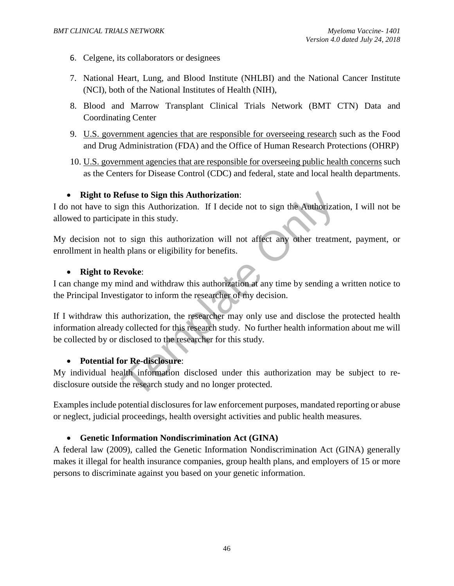- 6. Celgene, its collaborators or designees
- 7. National Heart, Lung, and Blood Institute (NHLBI) and the National Cancer Institute (NCI), both of the National Institutes of Health (NIH),
- 8. Blood and Marrow Transplant Clinical Trials Network (BMT CTN) Data and Coordinating Center
- 9. U.S. government agencies that are responsible for overseeing research such as the Food and Drug Administration (FDA) and the Office of Human Research Protections (OHRP)
- 10. U.S. government agencies that are responsible for overseeing public health concerns such as the Centers for Disease Control (CDC) and federal, state and local health departments.

#### • **Right to Refuse to Sign this Authorization**:

I do not have to sign this Authorization. If I decide not to sign the Authorization, I will not be allowed to participate in this study.

My decision not to sign this authorization will not affect any other treatment, payment, or enrollment in health plans or eligibility for benefits.

#### • **Right to Revoke**:

I can change my mind and withdraw this authorization at any time by sending a written notice to the Principal Investigator to inform the researcher of my decision.

**Example 16 Sign this Authorization:**<br>
Sign this Authorization. If I decide not to sign the Authorization<br>
ate in this study.<br>
to sign this authorization will not affect any other treatme<br>
the plans or eligibility for bene If I withdraw this authorization, the researcher may only use and disclose the protected health information already collected for this research study. No further health information about me will be collected by or disclosed to the researcher for this study.

#### • **Potential for Re-disclosure**:

My individual health information disclosed under this authorization may be subject to redisclosure outside the research study and no longer protected.

Examples include potential disclosures for law enforcement purposes, mandated reporting or abuse or neglect, judicial proceedings, health oversight activities and public health measures.

#### • **Genetic Information Nondiscrimination Act (GINA)**

A federal law (2009), called the Genetic Information Nondiscrimination Act (GINA) generally makes it illegal for health insurance companies, group health plans, and employers of 15 or more persons to discriminate against you based on your genetic information.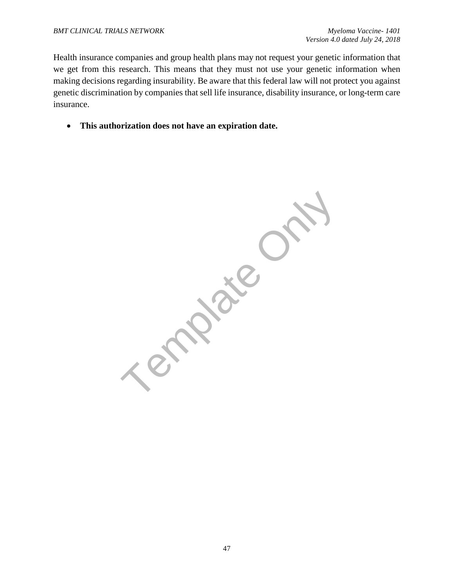Health insurance companies and group health plans may not request your genetic information that we get from this research. This means that they must not use your genetic information when making decisions regarding insurability. Be aware that this federal law will not protect you against genetic discrimination by companies that sell life insurance, disability insurance, or long-term care insurance.

• **This authorization does not have an expiration date.**

Template Only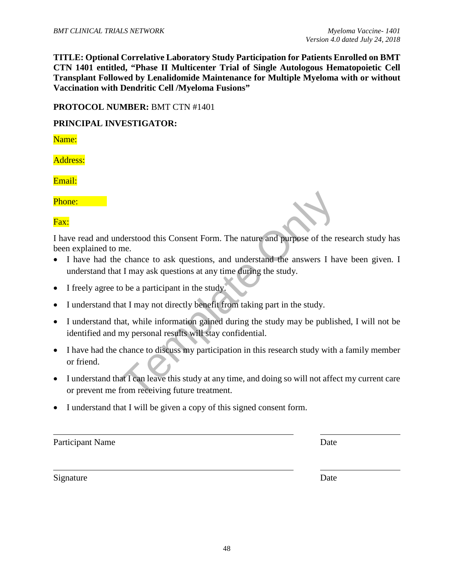**TITLE: Optional Correlative Laboratory Study Participation for Patients Enrolled on BMT CTN 1401 entitled, "Phase II Multicenter Trial of Single Autologous Hematopoietic Cell Transplant Followed by Lenalidomide Maintenance for Multiple Myeloma with or without Vaccination with Dendritic Cell /Myeloma Fusions"**

#### **PROTOCOL NUMBER:** BMT CTN #1401

#### **PRINCIPAL INVESTIGATOR:**

Name:

Address:

Email:

Phone:

Fax:

I have read and understood this Consent Form. The nature and purpose of the research study has been explained to me.

- I have had the chance to ask questions, and understand the answers I have been given. I understand that I may ask questions at any time during the study.
- I freely agree to be a participant in the study.
- I understand that I may not directly benefit from taking part in the study.
- I understand that, while information gained during the study may be published, I will not be identified and my personal results will stay confidential.
- derstood this Consent Form. The nature and purpose of the reme.<br>
The chance to ask questions, and understand the answers I has<br>
t I may ask questions at any time during the study.<br>
The study of the aparticipant in the stud • I have had the chance to discuss my participation in this research study with a family member or friend.
- I understand that I can leave this study at any time, and doing so will not affect my current care or prevent me from receiving future treatment.
- I understand that I will be given a copy of this signed consent form.

Participant Name Date

Signature Date

 $\overline{a}$ 

 $\overline{a}$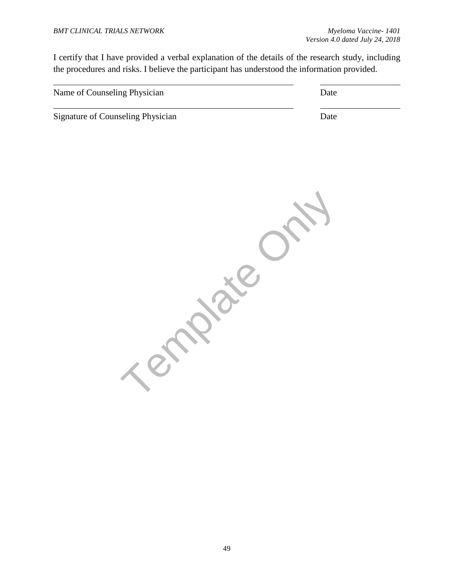I certify that I have provided a verbal explanation of the details of the research study, including the procedures and risks. I believe the participant has understood the information provided.

| Name of Counseling Physician      | Date |
|-----------------------------------|------|
| Signature of Counseling Physician | Date |

**Property**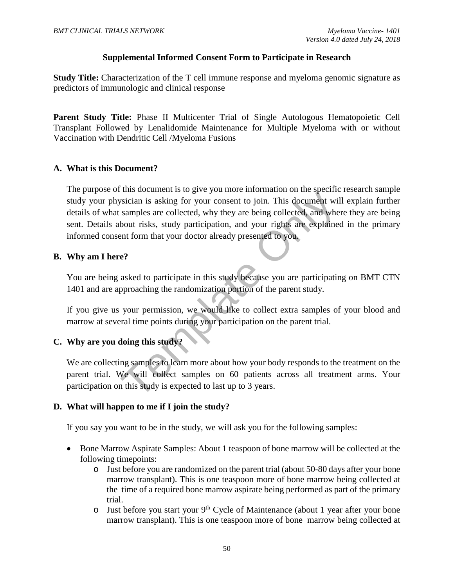#### **Supplemental Informed Consent Form to Participate in Research**

**Study Title:** Characterization of the T cell immune response and myeloma genomic signature as predictors of immunologic and clinical response

Parent Study Title: Phase II Multicenter Trial of Single Autologous Hematopoietic Cell Transplant Followed by Lenalidomide Maintenance for Multiple Myeloma with or without Vaccination with Dendritic Cell /Myeloma Fusions

#### **A. What is this Document?**

Solician is asking for your consent to join. This document will<br>samples are collected, why they are being collected, and whe<br>bout risks, study participation, and your rights are explained<br>bout risks, study participation, a The purpose of this document is to give you more information on the specific research sample study your physician is asking for your consent to join. This document will explain further details of what samples are collected, why they are being collected, and where they are being sent. Details about risks, study participation, and your rights are explained in the primary informed consent form that your doctor already presented to you.

#### **B. Why am I here?**

You are being asked to participate in this study because you are participating on BMT CTN 1401 and are approaching the randomization portion of the parent study.

If you give us your permission, we would like to collect extra samples of your blood and marrow at several time points during your participation on the parent trial.

# **C. Why are you doing this study?**

We are collecting samples to learn more about how your body responds to the treatment on the parent trial. We will collect samples on 60 patients across all treatment arms. Your participation on this study is expected to last up to 3 years.

#### **D. What will happen to me if I join the study?**

If you say you want to be in the study, we will ask you for the following samples:

- Bone Marrow Aspirate Samples: About 1 teaspoon of bone marrow will be collected at the following timepoints:
	- o Just before you are randomized on the parent trial (about 50-80 days after your bone marrow transplant). This is one teaspoon more of bone marrow being collected at the time of a required bone marrow aspirate being performed as part of the primary trial.
	- $\circ$  Just before you start your 9<sup>th</sup> Cycle of Maintenance (about 1 year after your bone marrow transplant). This is one teaspoon more of bone marrow being collected at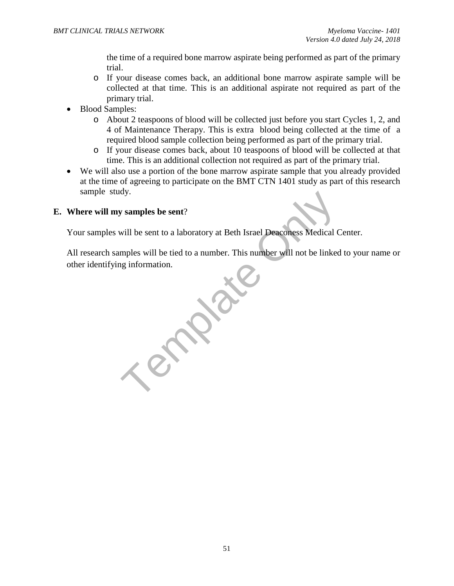the time of a required bone marrow aspirate being performed as part of the primary trial.

- o If your disease comes back, an additional bone marrow aspirate sample will be collected at that time. This is an additional aspirate not required as part of the primary trial.
- Blood Samples:
	- o About 2 teaspoons of blood will be collected just before you start Cycles 1, 2, and 4 of Maintenance Therapy. This is extra blood being collected at the time of a required blood sample collection being performed as part of the primary trial.
	- o If your disease comes back, about 10 teaspoons of blood will be collected at that time. This is an additional collection not required as part of the primary trial.
- We will also use a portion of the bone marrow aspirate sample that you already provided at the time of agreeing to participate on the BMT CTN 1401 study as part of this research sample study.

#### **E. Where will my samples be sent**?

Your samples will be sent to a laboratory at Beth Israel Deaconess Medical Center.

All research samples will be tied to a number. This number will not be linked to your name or other identifying information.

by samples be sent?<br>
will be sent to a laboratory at Beth Israel Deaconess Medical C<br>
mples will be tied to a number. This number will not be linked<br>
information.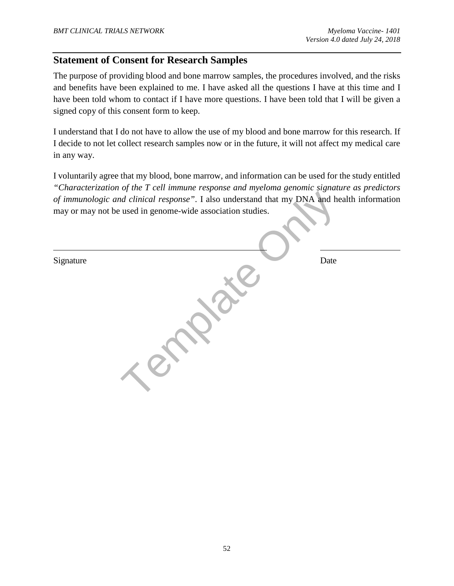# **Statement of Consent for Research Samples**

The purpose of providing blood and bone marrow samples, the procedures involved, and the risks and benefits have been explained to me. I have asked all the questions I have at this time and I have been told whom to contact if I have more questions. I have been told that I will be given a signed copy of this consent form to keep.

I understand that I do not have to allow the use of my blood and bone marrow for this research. If I decide to not let collect research samples now or in the future, it will not affect my medical care in any way.

I voluntarily agree that my blood, bone marrow, and information can be used for the study entitled *"Characterization of the T cell immune response and myeloma genomic signature as predictors of immunologic and clinical response"*. I also understand that my DNA and health information may or may not be used in genome-wide association studies.

|           | of immunologic and clinical response". I also understand that my DNA and health information<br>may or may not be used in genome-wide association studies. |      |
|-----------|-----------------------------------------------------------------------------------------------------------------------------------------------------------|------|
| Signature |                                                                                                                                                           | Date |
|           |                                                                                                                                                           |      |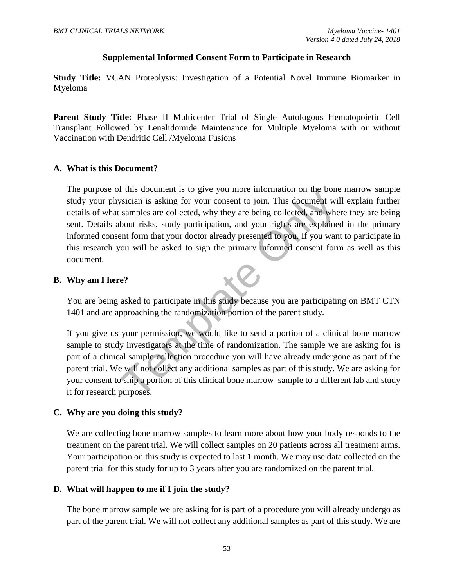#### **Supplemental Informed Consent Form to Participate in Research**

**Study Title:** VCAN Proteolysis: Investigation of a Potential Novel Immune Biomarker in Myeloma

Parent Study Title: Phase II Multicenter Trial of Single Autologous Hematopoietic Cell Transplant Followed by Lenalidomide Maintenance for Multiple Myeloma with or without Vaccination with Dendritic Cell /Myeloma Fusions

#### **A. What is this Document?**

Fraction is asking for your consent to join. This document will<br>samples are collected, why they are being collected, and whe<br>bout risks, study participation, and your rights are explained<br>bout risks, study participation, a The purpose of this document is to give you more information on the bone marrow sample study your physician is asking for your consent to join. This document will explain further details of what samples are collected, why they are being collected, and where they are being sent. Details about risks, study participation, and your rights are explained in the primary informed consent form that your doctor already presented to you. If you want to participate in this research you will be asked to sign the primary informed consent form as well as this document.

#### **B. Why am I here?**

You are being asked to participate in this study because you are participating on BMT CTN 1401 and are approaching the randomization portion of the parent study.

If you give us your permission, we would like to send a portion of a clinical bone marrow sample to study investigators at the time of randomization. The sample we are asking for is part of a clinical sample collection procedure you will have already undergone as part of the parent trial. We will not collect any additional samples as part of this study. We are asking for your consent to ship a portion of this clinical bone marrow sample to a different lab and study it for research purposes.

#### **C. Why are you doing this study?**

We are collecting bone marrow samples to learn more about how your body responds to the treatment on the parent trial. We will collect samples on 20 patients across all treatment arms. Your participation on this study is expected to last 1 month. We may use data collected on the parent trial for this study for up to 3 years after you are randomized on the parent trial.

#### **D. What will happen to me if I join the study?**

The bone marrow sample we are asking for is part of a procedure you will already undergo as part of the parent trial. We will not collect any additional samples as part of this study. We are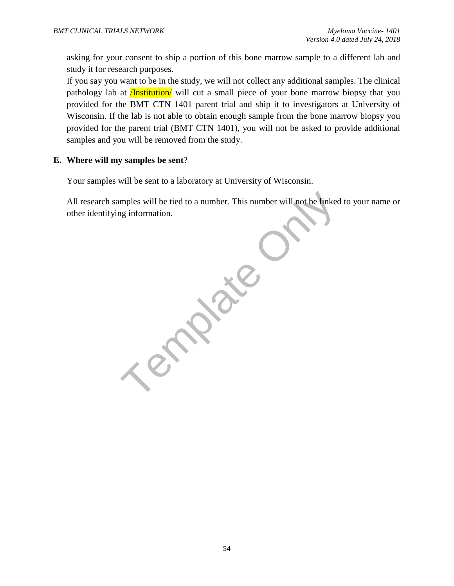asking for your consent to ship a portion of this bone marrow sample to a different lab and study it for research purposes.

If you say you want to be in the study, we will not collect any additional samples. The clinical pathology lab at **/Institution** will cut a small piece of your bone marrow biopsy that you provided for the BMT CTN 1401 parent trial and ship it to investigators at University of Wisconsin. If the lab is not able to obtain enough sample from the bone marrow biopsy you provided for the parent trial (BMT CTN 1401), you will not be asked to provide additional samples and you will be removed from the study.

#### **E. Where will my samples be sent**?

Your samples will be sent to a laboratory at University of Wisconsin.

All research samples will be tied to a number. This number will not be linked to your name or other identifying information.

Template O